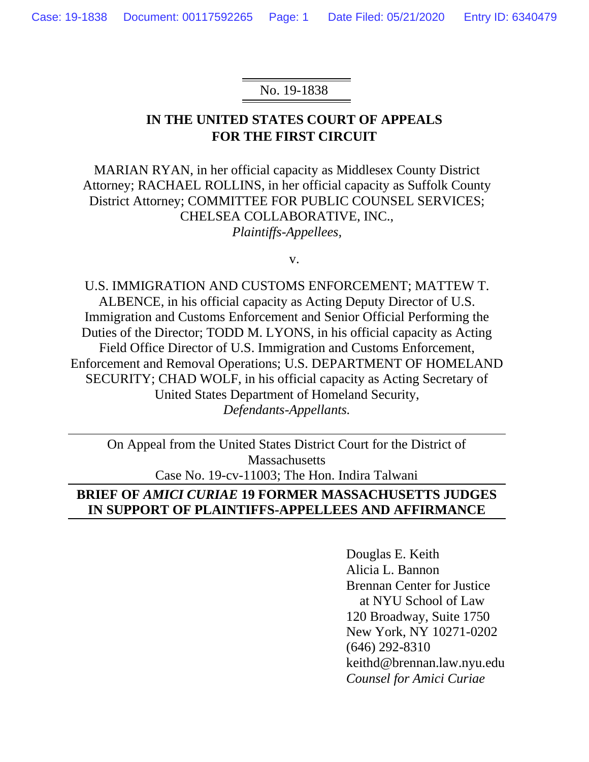#### No. 19-1838

## **IN THE UNITED STATES COURT OF APPEALS FOR THE FIRST CIRCUIT**

MARIAN RYAN, in her official capacity as Middlesex County District Attorney; RACHAEL ROLLINS, in her official capacity as Suffolk County District Attorney; COMMITTEE FOR PUBLIC COUNSEL SERVICES; CHELSEA COLLABORATIVE, INC., *Plaintiffs-Appellees,*

v.

U.S. IMMIGRATION AND CUSTOMS ENFORCEMENT; MATTEW T. ALBENCE, in his official capacity as Acting Deputy Director of U.S. Immigration and Customs Enforcement and Senior Official Performing the Duties of the Director; TODD M. LYONS, in his official capacity as Acting Field Office Director of U.S. Immigration and Customs Enforcement, Enforcement and Removal Operations; U.S. DEPARTMENT OF HOMELAND SECURITY; CHAD WOLF, in his official capacity as Acting Secretary of United States Department of Homeland Security, *Defendants-Appellants.*

On Appeal from the United States District Court for the District of Massachusetts Case No. 19-cv-11003; The Hon. Indira Talwani

## **BRIEF OF** *AMICI CURIAE* **19 FORMER MASSACHUSETTS JUDGES IN SUPPORT OF PLAINTIFFS-APPELLEES AND AFFIRMANCE**

Douglas E. Keith Alicia L. Bannon Brennan Center for Justice at NYU School of Law 120 Broadway, Suite 1750 New York, NY 10271-0202 (646) 292-8310 keithd@brennan.law.nyu.edu *Counsel for Amici Curiae*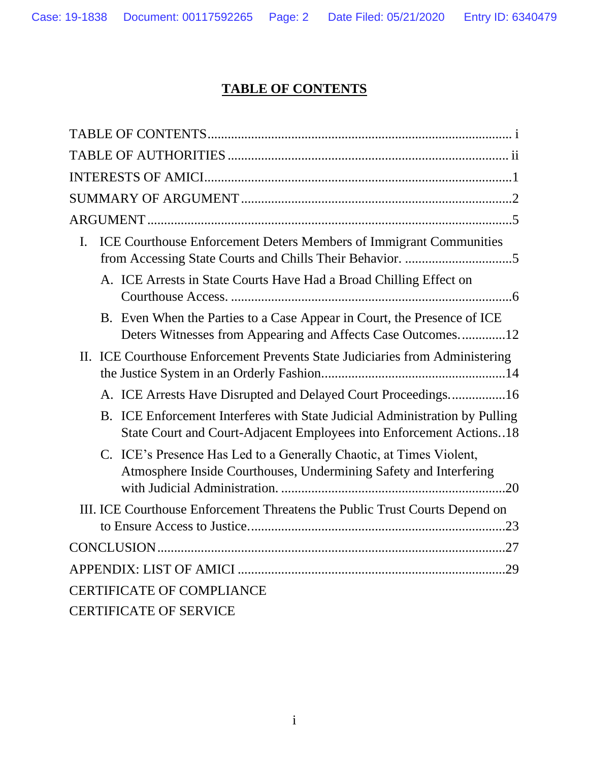# **TABLE OF CONTENTS**

<span id="page-1-0"></span>

| ICE Courthouse Enforcement Deters Members of Immigrant Communities<br>Ι.                                                                           |  |
|----------------------------------------------------------------------------------------------------------------------------------------------------|--|
| A. ICE Arrests in State Courts Have Had a Broad Chilling Effect on                                                                                 |  |
| B. Even When the Parties to a Case Appear in Court, the Presence of ICE<br>Deters Witnesses from Appearing and Affects Case Outcomes12             |  |
| II. ICE Courthouse Enforcement Prevents State Judiciaries from Administering                                                                       |  |
| A. ICE Arrests Have Disrupted and Delayed Court Proceedings16                                                                                      |  |
| B. ICE Enforcement Interferes with State Judicial Administration by Pulling<br>State Court and Court-Adjacent Employees into Enforcement Actions18 |  |
| C. ICE's Presence Has Led to a Generally Chaotic, at Times Violent,<br>Atmosphere Inside Courthouses, Undermining Safety and Interfering           |  |
| III. ICE Courthouse Enforcement Threatens the Public Trust Courts Depend on                                                                        |  |
|                                                                                                                                                    |  |
|                                                                                                                                                    |  |
| <b>CERTIFICATE OF COMPLIANCE</b>                                                                                                                   |  |
| <b>CERTIFICATE OF SERVICE</b>                                                                                                                      |  |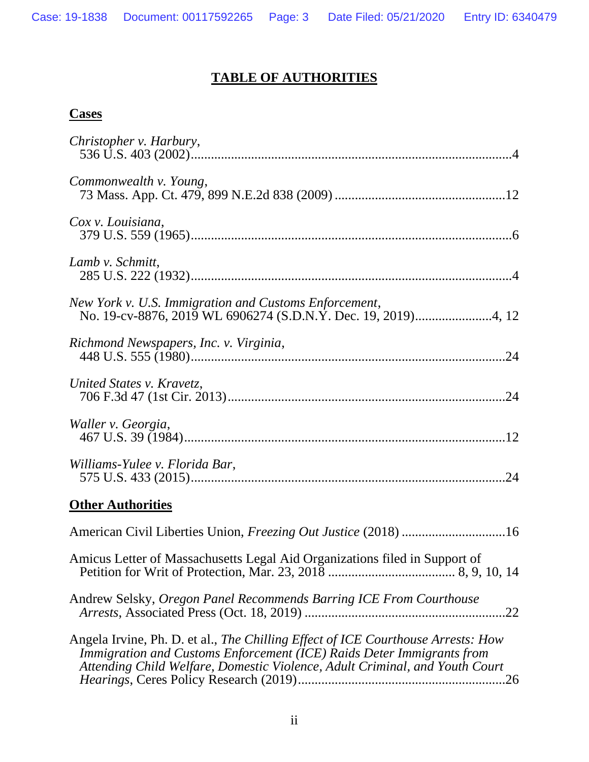## **TABLE OF AUTHORITIES**

## <span id="page-2-0"></span>**Cases**

| Christopher v. Harbury,                                                                                                                                                                                                                  |
|------------------------------------------------------------------------------------------------------------------------------------------------------------------------------------------------------------------------------------------|
| Commonwealth v. Young,                                                                                                                                                                                                                   |
| Cox v. Louisiana,                                                                                                                                                                                                                        |
| Lamb v. Schmitt,                                                                                                                                                                                                                         |
| New York v. U.S. Immigration and Customs Enforcement,                                                                                                                                                                                    |
| Richmond Newspapers, Inc. v. Virginia,                                                                                                                                                                                                   |
| United States v. Kravetz,                                                                                                                                                                                                                |
| Waller v. Georgia,                                                                                                                                                                                                                       |
| Williams-Yulee v. Florida Bar,                                                                                                                                                                                                           |
| <b>Other Authorities</b>                                                                                                                                                                                                                 |
| American Civil Liberties Union, Freezing Out Justice (2018) 16                                                                                                                                                                           |
| Amicus Letter of Massachusetts Legal Aid Organizations filed in Support of                                                                                                                                                               |
| Andrew Selsky, Oregon Panel Recommends Barring ICE From Courthouse<br>.22                                                                                                                                                                |
| Angela Irvine, Ph. D. et al., The Chilling Effect of ICE Courthouse Arrests: How<br>Immigration and Customs Enforcement (ICE) Raids Deter Immigrants from<br>Attending Child Welfare, Domestic Violence, Adult Criminal, and Youth Court |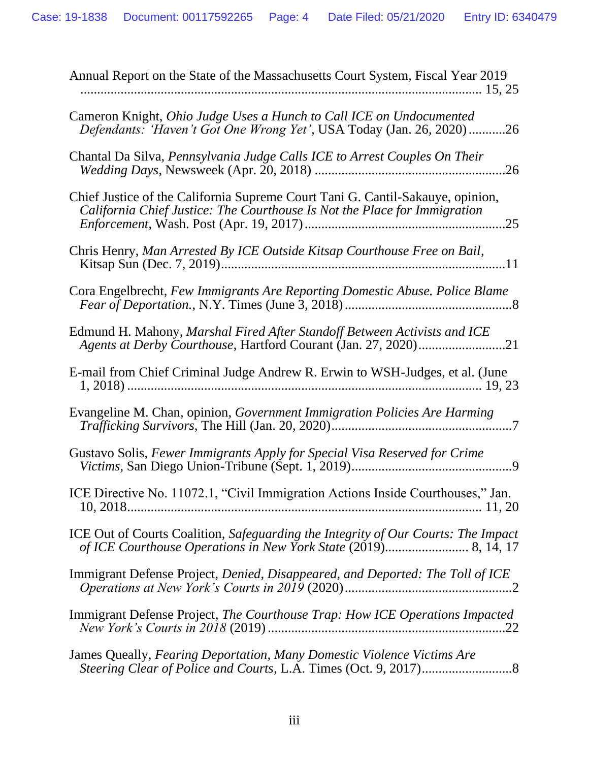| Annual Report on the State of the Massachusetts Court System, Fiscal Year 2019                                                                              |
|-------------------------------------------------------------------------------------------------------------------------------------------------------------|
| Cameron Knight, Ohio Judge Uses a Hunch to Call ICE on Undocumented<br>Defendants: 'Haven't Got One Wrong Yet', USA Today (Jan. 26, 2020)<br>.26            |
| Chantal Da Silva, Pennsylvania Judge Calls ICE to Arrest Couples On Their<br>.26                                                                            |
| Chief Justice of the California Supreme Court Tani G. Cantil-Sakauye, opinion,<br>California Chief Justice: The Courthouse Is Not the Place for Immigration |
| Chris Henry, Man Arrested By ICE Outside Kitsap Courthouse Free on Bail,                                                                                    |
| Cora Engelbrecht, Few Immigrants Are Reporting Domestic Abuse. Police Blame                                                                                 |
| Edmund H. Mahony, Marshal Fired After Standoff Between Activists and ICE<br>Agents at Derby Courthouse, Hartford Courant (Jan. 27, 2020)21                  |
| E-mail from Chief Criminal Judge Andrew R. Erwin to WSH-Judges, et al. (June                                                                                |
| Evangeline M. Chan, opinion, Government Immigration Policies Are Harming                                                                                    |
| Gustavo Solis, Fewer Immigrants Apply for Special Visa Reserved for Crime                                                                                   |
| ICE Directive No. 11072.1, "Civil Immigration Actions Inside Courthouses," Jan.<br>$10, 2018 \dots 11, 20$                                                  |
| ICE Out of Courts Coalition, Safeguarding the Integrity of Our Courts: The Impact                                                                           |
| Immigrant Defense Project, Denied, Disappeared, and Deported: The Toll of ICE                                                                               |
| Immigrant Defense Project, The Courthouse Trap: How ICE Operations Impacted                                                                                 |
| James Queally, Fearing Deportation, Many Domestic Violence Victims Are                                                                                      |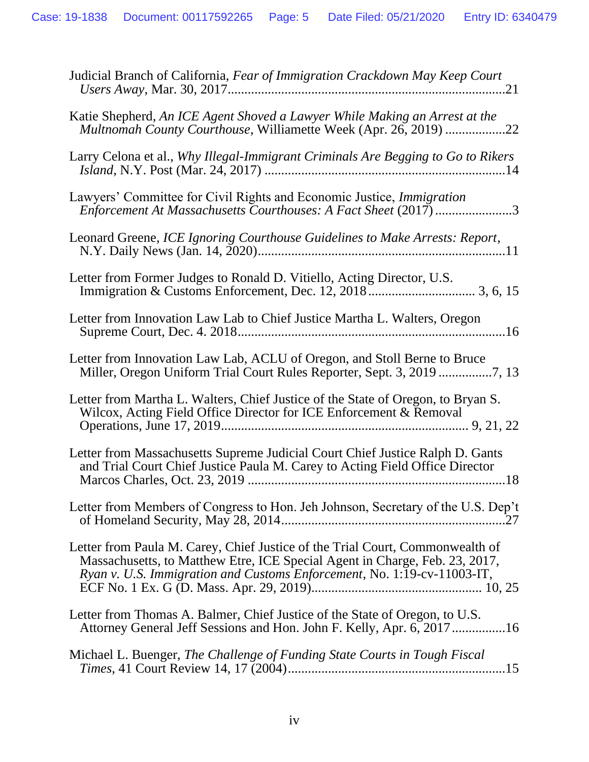| Judicial Branch of California, Fear of Immigration Crackdown May Keep Court                                                                                                                                                             |
|-----------------------------------------------------------------------------------------------------------------------------------------------------------------------------------------------------------------------------------------|
| Katie Shepherd, An ICE Agent Shoved a Lawyer While Making an Arrest at the<br>Multnomah County Courthouse, Williamette Week (Apr. 26, 2019) 22                                                                                          |
| Larry Celona et al., Why Illegal-Immigrant Criminals Are Begging to Go to Rikers                                                                                                                                                        |
| Lawyers' Committee for Civil Rights and Economic Justice, <i>Immigration</i><br>Enforcement At Massachusetts Courthouses: A Fact Sheet (2017) 3                                                                                         |
| Leonard Greene, ICE Ignoring Courthouse Guidelines to Make Arrests: Report,                                                                                                                                                             |
| Letter from Former Judges to Ronald D. Vitiello, Acting Director, U.S.                                                                                                                                                                  |
| Letter from Innovation Law Lab to Chief Justice Martha L. Walters, Oregon                                                                                                                                                               |
| Letter from Innovation Law Lab, ACLU of Oregon, and Stoll Berne to Bruce                                                                                                                                                                |
| Letter from Martha L. Walters, Chief Justice of the State of Oregon, to Bryan S.<br>Wilcox, Acting Field Office Director for ICE Enforcement & Removal                                                                                  |
| Letter from Massachusetts Supreme Judicial Court Chief Justice Ralph D. Gants<br>and Trial Court Chief Justice Paula M. Carey to Acting Field Office Director                                                                           |
| Letter from Members of Congress to Hon. Jeh Johnson, Secretary of the U.S. Dep't                                                                                                                                                        |
| Letter from Paula M. Carey, Chief Justice of the Trial Court, Commonwealth of<br>Massachusetts, to Matthew Etre, ICE Special Agent in Charge, Feb. 23, 2017,<br>Ryan v. U.S. Immigration and Customs Enforcement, No. 1:19-cv-11003-IT, |
| Letter from Thomas A. Balmer, Chief Justice of the State of Oregon, to U.S.<br>Attorney General Jeff Sessions and Hon. John F. Kelly, Apr. 6, 2017 16                                                                                   |
| Michael L. Buenger, The Challenge of Funding State Courts in Tough Fiscal                                                                                                                                                               |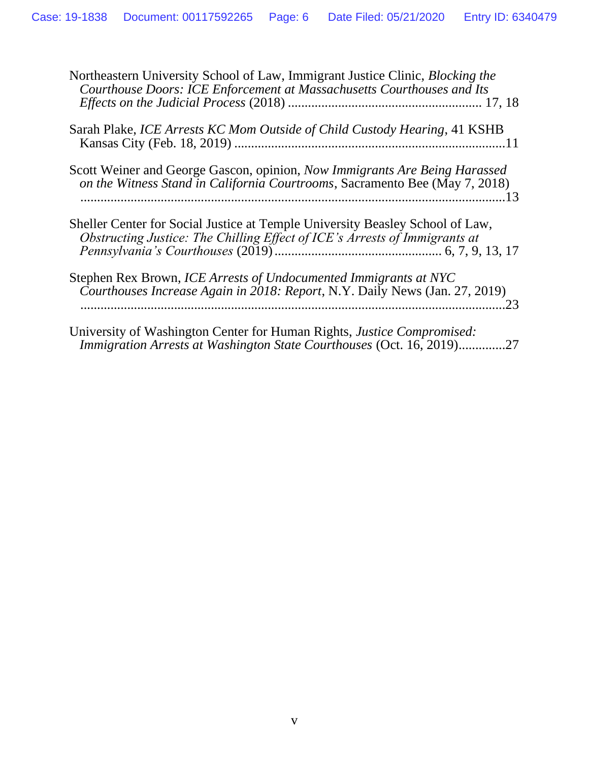| Northeastern University School of Law, Immigrant Justice Clinic, <i>Blocking the</i><br>Courthouse Doors: ICE Enforcement at Massachusetts Courthouses and Its     |
|--------------------------------------------------------------------------------------------------------------------------------------------------------------------|
| Sarah Plake, ICE Arrests KC Mom Outside of Child Custody Hearing, 41 KSHB                                                                                          |
| Scott Weiner and George Gascon, opinion, Now Immigrants Are Being Harassed<br>on the Witness Stand in California Courtrooms, Sacramento Bee (May 7, 2018)          |
| Sheller Center for Social Justice at Temple University Beasley School of Law,<br>Obstructing Justice: The Chilling Effect of ICE's Arrests of Immigrants at        |
| Stephen Rex Brown, ICE Arrests of Undocumented Immigrants at NYC<br>Courthouses Increase Again in 2018: Report, N.Y. Daily News (Jan. 27, 2019)<br>.23             |
| University of Washington Center for Human Rights, <i>Justice Compromised</i> :<br><i>Immigration Arrests at Washington State Courthouses (Oct. 16, 2019)</i><br>27 |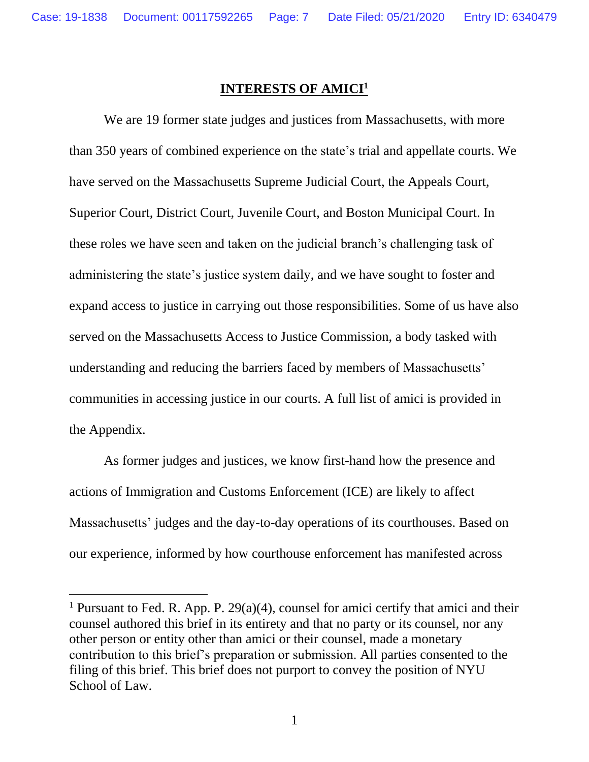#### **INTERESTS OF AMICI<sup>1</sup>**

<span id="page-6-0"></span>We are 19 former state judges and justices from Massachusetts, with more than 350 years of combined experience on the state's trial and appellate courts. We have served on the Massachusetts Supreme Judicial Court, the Appeals Court, Superior Court, District Court, Juvenile Court, and Boston Municipal Court. In these roles we have seen and taken on the judicial branch's challenging task of administering the state's justice system daily, and we have sought to foster and expand access to justice in carrying out those responsibilities. Some of us have also served on the Massachusetts Access to Justice Commission, a body tasked with understanding and reducing the barriers faced by members of Massachusetts' communities in accessing justice in our courts. A full list of amici is provided in the Appendix.

As former judges and justices, we know first-hand how the presence and actions of Immigration and Customs Enforcement (ICE) are likely to affect Massachusetts' judges and the day-to-day operations of its courthouses. Based on our experience, informed by how courthouse enforcement has manifested across

<sup>&</sup>lt;sup>1</sup> Pursuant to Fed. R. App. P. 29(a)(4), counsel for amici certify that amici and their counsel authored this brief in its entirety and that no party or its counsel, nor any other person or entity other than amici or their counsel, made a monetary contribution to this brief's preparation or submission. All parties consented to the filing of this brief. This brief does not purport to convey the position of NYU School of Law.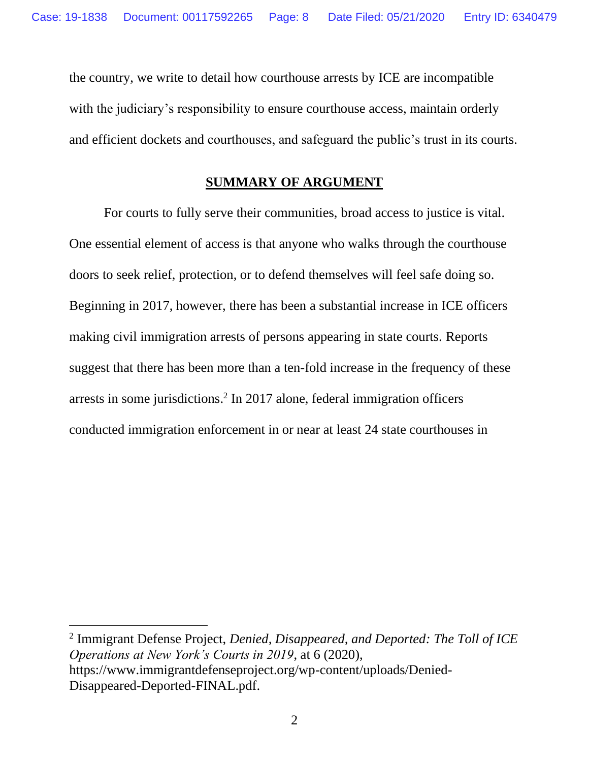the country, we write to detail how courthouse arrests by ICE are incompatible with the judiciary's responsibility to ensure courthouse access, maintain orderly and efficient dockets and courthouses, and safeguard the public's trust in its courts.

#### **SUMMARY OF ARGUMENT**

<span id="page-7-0"></span>For courts to fully serve their communities, broad access to justice is vital. One essential element of access is that anyone who walks through the courthouse doors to seek relief, protection, or to defend themselves will feel safe doing so. Beginning in 2017, however, there has been a substantial increase in ICE officers making civil immigration arrests of persons appearing in state courts. Reports suggest that there has been more than a ten-fold increase in the frequency of these arrests in some jurisdictions. 2 In 2017 alone, federal immigration officers conducted immigration enforcement in or near at least 24 state courthouses in

<sup>2</sup> Immigrant Defense Project, *Denied, Disappeared, and Deported: The Toll of ICE Operations at New York's Courts in 2019*, at 6 (2020), https://www.immigrantdefenseproject.org/wp-content/uploads/Denied-Disappeared-Deported-FINAL.pdf.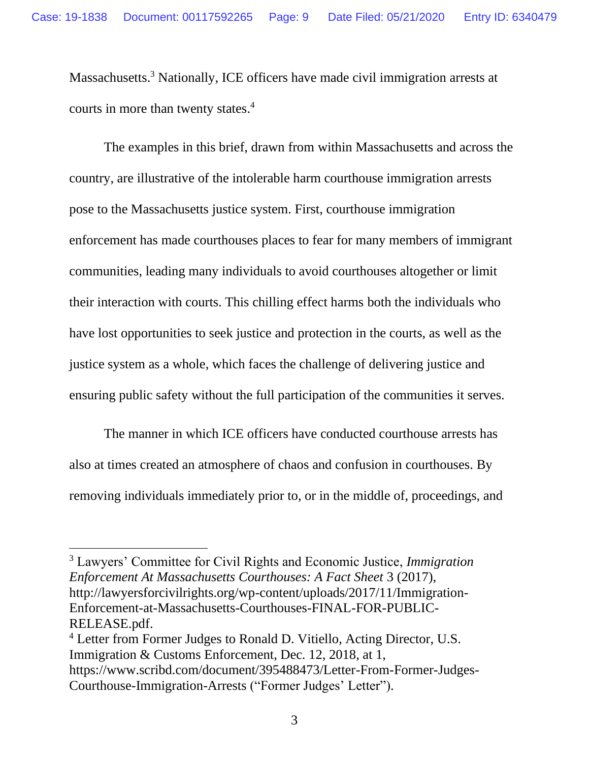Massachusetts.<sup>3</sup> Nationally, ICE officers have made civil immigration arrests at courts in more than twenty states. 4

The examples in this brief, drawn from within Massachusetts and across the country, are illustrative of the intolerable harm courthouse immigration arrests pose to the Massachusetts justice system. First, courthouse immigration enforcement has made courthouses places to fear for many members of immigrant communities, leading many individuals to avoid courthouses altogether or limit their interaction with courts. This chilling effect harms both the individuals who have lost opportunities to seek justice and protection in the courts, as well as the justice system as a whole, which faces the challenge of delivering justice and ensuring public safety without the full participation of the communities it serves.

The manner in which ICE officers have conducted courthouse arrests has also at times created an atmosphere of chaos and confusion in courthouses. By removing individuals immediately prior to, or in the middle of, proceedings, and

<sup>3</sup> Lawyers' Committee for Civil Rights and Economic Justice, *Immigration Enforcement At Massachusetts Courthouses: A Fact Sheet* 3 (2017), http://lawyersforcivilrights.org/wp-content/uploads/2017/11/Immigration-Enforcement-at-Massachusetts-Courthouses-FINAL-FOR-PUBLIC-RELEASE.pdf.

<sup>4</sup> Letter from Former Judges to Ronald D. Vitiello, Acting Director, U.S. Immigration & Customs Enforcement, Dec. 12, 2018, at 1, https://www.scribd.com/document/395488473/Letter-From-Former-Judges-Courthouse-Immigration-Arrests ("Former Judges' Letter").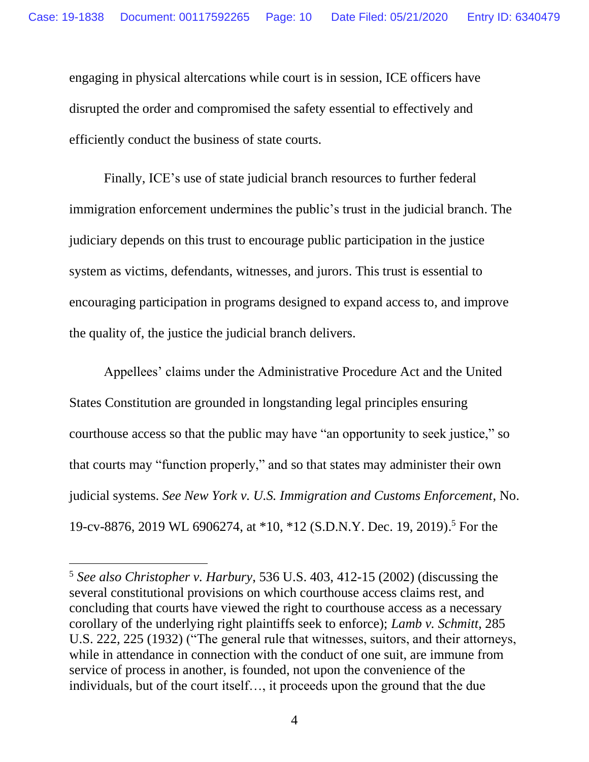engaging in physical altercations while court is in session, ICE officers have disrupted the order and compromised the safety essential to effectively and efficiently conduct the business of state courts.

Finally, ICE's use of state judicial branch resources to further federal immigration enforcement undermines the public's trust in the judicial branch. The judiciary depends on this trust to encourage public participation in the justice system as victims, defendants, witnesses, and jurors. This trust is essential to encouraging participation in programs designed to expand access to, and improve the quality of, the justice the judicial branch delivers.

Appellees' claims under the Administrative Procedure Act and the United States Constitution are grounded in longstanding legal principles ensuring courthouse access so that the public may have "an opportunity to seek justice," so that courts may "function properly," and so that states may administer their own judicial systems. *See New York v. U.S. Immigration and Customs Enforcement*, No. 19-cv-8876, 2019 WL 6906274, at \*10, \*12 (S.D.N.Y. Dec. 19, 2019). <sup>5</sup> For the

<sup>5</sup> *See also Christopher v. Harbury*, 536 U.S. 403, 412-15 (2002) (discussing the several constitutional provisions on which courthouse access claims rest, and concluding that courts have viewed the right to courthouse access as a necessary corollary of the underlying right plaintiffs seek to enforce); *Lamb v. Schmitt*, 285 U.S. 222, 225 (1932) ("The general rule that witnesses, suitors, and their attorneys, while in attendance in connection with the conduct of one suit, are immune from service of process in another, is founded, not upon the convenience of the individuals, but of the court itself…, it proceeds upon the ground that the due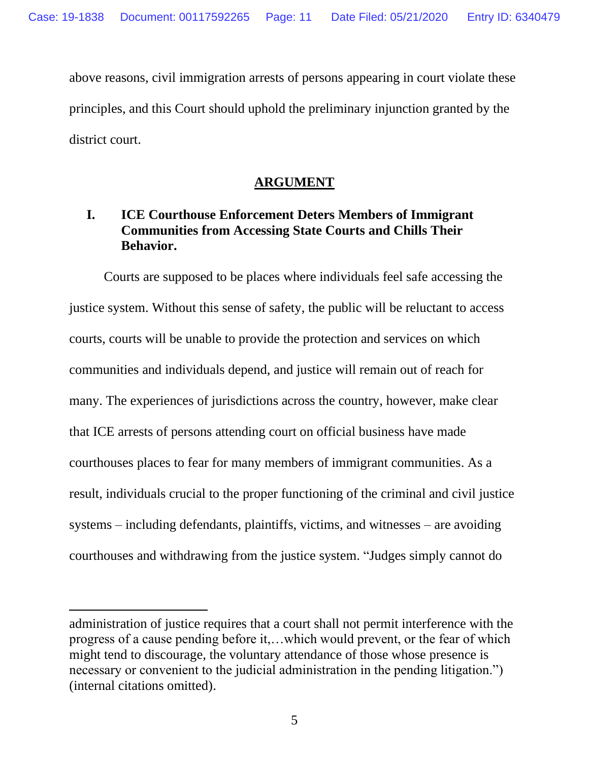above reasons, civil immigration arrests of persons appearing in court violate these principles, and this Court should uphold the preliminary injunction granted by the district court.

### **ARGUMENT**

## <span id="page-10-1"></span><span id="page-10-0"></span>**I. ICE Courthouse Enforcement Deters Members of Immigrant Communities from Accessing State Courts and Chills Their Behavior.**

Courts are supposed to be places where individuals feel safe accessing the justice system. Without this sense of safety, the public will be reluctant to access courts, courts will be unable to provide the protection and services on which communities and individuals depend, and justice will remain out of reach for many. The experiences of jurisdictions across the country, however, make clear that ICE arrests of persons attending court on official business have made courthouses places to fear for many members of immigrant communities. As a result, individuals crucial to the proper functioning of the criminal and civil justice systems – including defendants, plaintiffs, victims, and witnesses – are avoiding courthouses and withdrawing from the justice system. "Judges simply cannot do

administration of justice requires that a court shall not permit interference with the progress of a cause pending before it,…which would prevent, or the fear of which might tend to discourage, the voluntary attendance of those whose presence is necessary or convenient to the judicial administration in the pending litigation.") (internal citations omitted).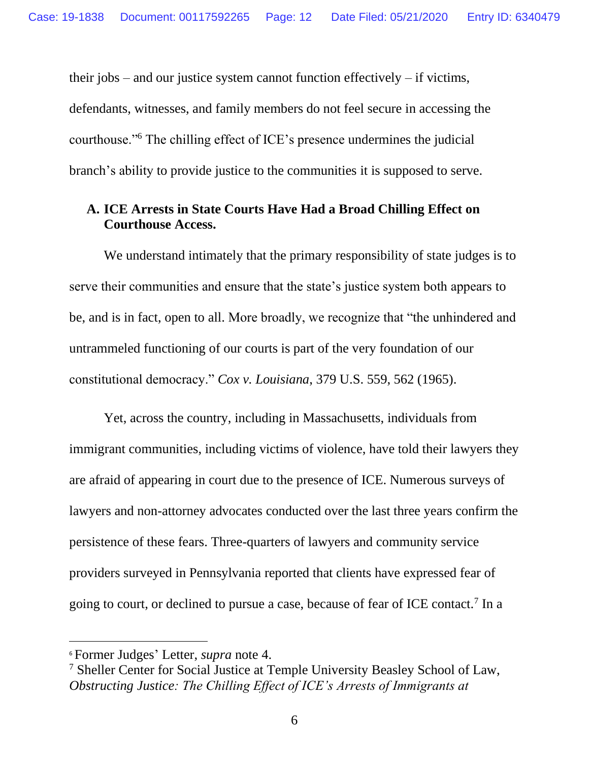their jobs – and our justice system cannot function effectively – if victims, defendants, witnesses, and family members do not feel secure in accessing the courthouse."<sup>6</sup> The chilling effect of ICE's presence undermines the judicial branch's ability to provide justice to the communities it is supposed to serve.

#### <span id="page-11-0"></span>**A. ICE Arrests in State Courts Have Had a Broad Chilling Effect on Courthouse Access.**

We understand intimately that the primary responsibility of state judges is to serve their communities and ensure that the state's justice system both appears to be, and is in fact, open to all. More broadly, we recognize that "the unhindered and untrammeled functioning of our courts is part of the very foundation of our constitutional democracy." *Cox v. Louisiana*, 379 U.S. 559, 562 (1965).

Yet, across the country, including in Massachusetts, individuals from immigrant communities, including victims of violence, have told their lawyers they are afraid of appearing in court due to the presence of ICE. Numerous surveys of lawyers and non-attorney advocates conducted over the last three years confirm the persistence of these fears. Three-quarters of lawyers and community service providers surveyed in Pennsylvania reported that clients have expressed fear of going to court, or declined to pursue a case, because of fear of ICE contact.<sup>7</sup> In a

<sup>6</sup> Former Judges' Letter, *supra* note 4.

<sup>7</sup> Sheller Center for Social Justice at Temple University Beasley School of Law, *Obstructing Justice: The Chilling Effect of ICE's Arrests of Immigrants at*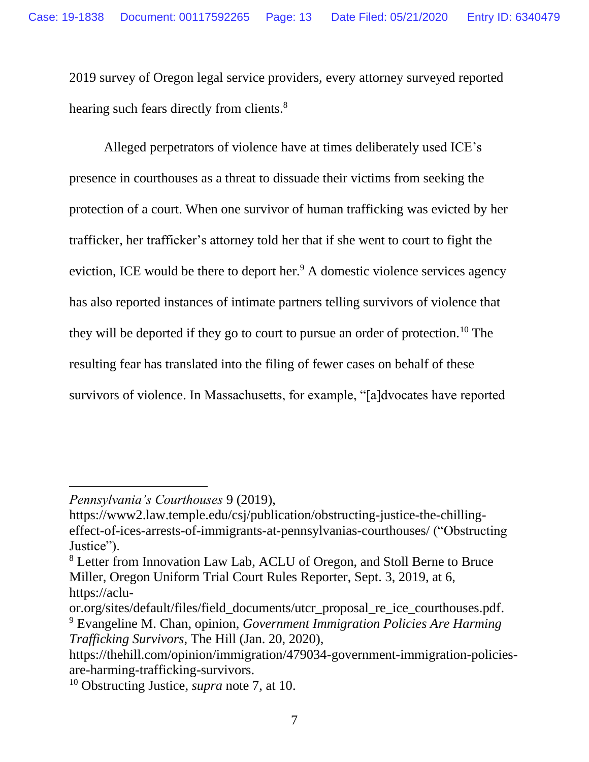2019 survey of Oregon legal service providers, every attorney surveyed reported hearing such fears directly from clients.<sup>8</sup>

Alleged perpetrators of violence have at times deliberately used ICE's presence in courthouses as a threat to dissuade their victims from seeking the protection of a court. When one survivor of human trafficking was evicted by her trafficker, her trafficker's attorney told her that if she went to court to fight the eviction, ICE would be there to deport her.<sup>9</sup> A domestic violence services agency has also reported instances of intimate partners telling survivors of violence that they will be deported if they go to court to pursue an order of protection.<sup>10</sup> The resulting fear has translated into the filing of fewer cases on behalf of these survivors of violence. In Massachusetts, for example, "[a]dvocates have reported

*Pennsylvania's Courthouses* 9 (2019),

https://www2.law.temple.edu/csj/publication/obstructing-justice-the-chillingeffect-of-ices-arrests-of-immigrants-at-pennsylvanias-courthouses/ ("Obstructing Justice").

<sup>8</sup> Letter from Innovation Law Lab, ACLU of Oregon, and Stoll Berne to Bruce Miller, Oregon Uniform Trial Court Rules Reporter, Sept. 3, 2019, at 6, https://aclu-

or.org/sites/default/files/field\_documents/utcr\_proposal\_re\_ice\_courthouses.pdf. <sup>9</sup> Evangeline M. Chan, opinion, *Government Immigration Policies Are Harming Trafficking Survivors*, The Hill (Jan. 20, 2020),

https://thehill.com/opinion/immigration/479034-government-immigration-policiesare-harming-trafficking-survivors.

<sup>10</sup> Obstructing Justice, *supra* note 7, at 10.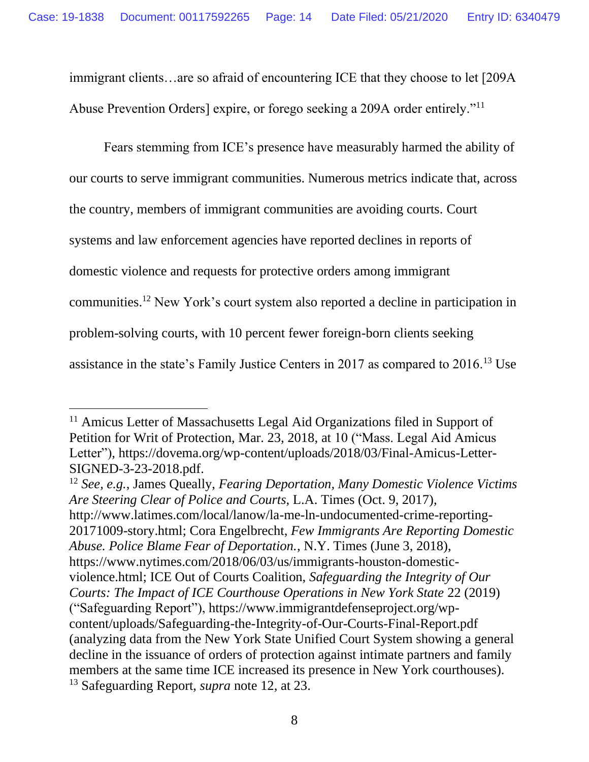immigrant clients…are so afraid of encountering ICE that they choose to let [209A Abuse Prevention Orders] expire, or forego seeking a 209A order entirely."<sup>11</sup>

Fears stemming from ICE's presence have measurably harmed the ability of our courts to serve immigrant communities. Numerous metrics indicate that, across the country, members of immigrant communities are avoiding courts. Court systems and law enforcement agencies have reported declines in reports of domestic violence and requests for protective orders among immigrant communities. <sup>12</sup> New York's court system also reported a decline in participation in problem-solving courts, with 10 percent fewer foreign-born clients seeking assistance in the state's Family Justice Centers in 2017 as compared to 2016.<sup>13</sup> Use

<sup>12</sup> *See, e.g.*, James Queally, *Fearing Deportation, Many Domestic Violence Victims Are Steering Clear of Police and Courts*, L.A. Times (Oct. 9, 2017), http://www.latimes.com/local/lanow/la-me-ln-undocumented-crime-reporting-20171009-story.html; Cora Engelbrecht, *Few Immigrants Are Reporting Domestic Abuse. Police Blame Fear of Deportation.*, N.Y. Times (June 3, 2018), https://www.nytimes.com/2018/06/03/us/immigrants-houston-domesticviolence.html; ICE Out of Courts Coalition, *Safeguarding the Integrity of Our Courts: The Impact of ICE Courthouse Operations in New York State* 22 (2019) ("Safeguarding Report"), https://www.immigrantdefenseproject.org/wpcontent/uploads/Safeguarding-the-Integrity-of-Our-Courts-Final-Report.pdf (analyzing data from the New York State Unified Court System showing a general decline in the issuance of orders of protection against intimate partners and family members at the same time ICE increased its presence in New York courthouses). <sup>13</sup> Safeguarding Report, *supra* note 12, at 23.

<sup>&</sup>lt;sup>11</sup> Amicus Letter of Massachusetts Legal Aid Organizations filed in Support of Petition for Writ of Protection, Mar. 23, 2018, at 10 ("Mass. Legal Aid Amicus Letter"), https://dovema.org/wp-content/uploads/2018/03/Final-Amicus-Letter-SIGNED-3-23-2018.pdf.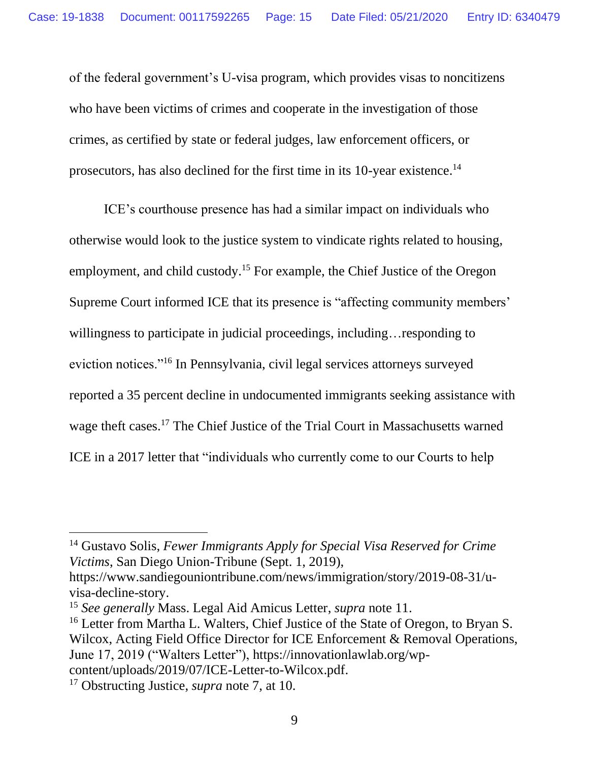of the federal government's U-visa program, which provides visas to noncitizens who have been victims of crimes and cooperate in the investigation of those crimes, as certified by state or federal judges, law enforcement officers, or prosecutors, has also declined for the first time in its 10-year existence.<sup>14</sup>

ICE's courthouse presence has had a similar impact on individuals who otherwise would look to the justice system to vindicate rights related to housing, employment, and child custody.<sup>15</sup> For example, the Chief Justice of the Oregon Supreme Court informed ICE that its presence is "affecting community members' willingness to participate in judicial proceedings, including... responding to eviction notices."<sup>16</sup> In Pennsylvania, civil legal services attorneys surveyed reported a 35 percent decline in undocumented immigrants seeking assistance with wage theft cases.<sup>17</sup> The Chief Justice of the Trial Court in Massachusetts warned ICE in a 2017 letter that "individuals who currently come to our Courts to help

<sup>14</sup> Gustavo Solis, *Fewer Immigrants Apply for Special Visa Reserved for Crime Victims*, San Diego Union-Tribune (Sept. 1, 2019),

https://www.sandiegouniontribune.com/news/immigration/story/2019-08-31/uvisa-decline-story.

<sup>15</sup> *See generally* Mass. Legal Aid Amicus Letter, *supra* note 11.

<sup>&</sup>lt;sup>16</sup> Letter from Martha L. Walters, Chief Justice of the State of Oregon, to Bryan S. Wilcox, Acting Field Office Director for ICE Enforcement & Removal Operations, June 17, 2019 ("Walters Letter"), https://innovationlawlab.org/wpcontent/uploads/2019/07/ICE-Letter-to-Wilcox.pdf.

<sup>17</sup> Obstructing Justice, *supra* note 7, at 10.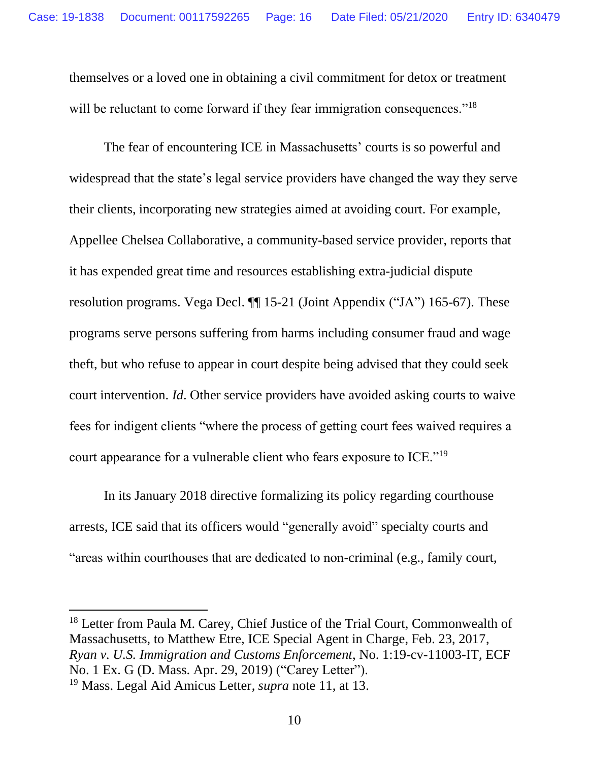themselves or a loved one in obtaining a civil commitment for detox or treatment will be reluctant to come forward if they fear immigration consequences."<sup>18</sup>

The fear of encountering ICE in Massachusetts' courts is so powerful and widespread that the state's legal service providers have changed the way they serve their clients, incorporating new strategies aimed at avoiding court. For example, Appellee Chelsea Collaborative, a community-based service provider, reports that it has expended great time and resources establishing extra-judicial dispute resolution programs. Vega Decl. ¶¶ 15-21 (Joint Appendix ("JA") 165-67). These programs serve persons suffering from harms including consumer fraud and wage theft, but who refuse to appear in court despite being advised that they could seek court intervention. *Id*. Other service providers have avoided asking courts to waive fees for indigent clients "where the process of getting court fees waived requires a court appearance for a vulnerable client who fears exposure to ICE."<sup>19</sup>

In its January 2018 directive formalizing its policy regarding courthouse arrests, ICE said that its officers would "generally avoid" specialty courts and "areas within courthouses that are dedicated to non-criminal (e.g., family court,

<sup>18</sup> Letter from Paula M. Carey, Chief Justice of the Trial Court, Commonwealth of Massachusetts, to Matthew Etre, ICE Special Agent in Charge, Feb. 23, 2017, *Ryan v. U.S. Immigration and Customs Enforcement*, No. 1:19-cv-11003-IT, ECF No. 1 Ex. G (D. Mass. Apr. 29, 2019) ("Carey Letter").

<sup>19</sup> Mass. Legal Aid Amicus Letter, *supra* note 11, at 13.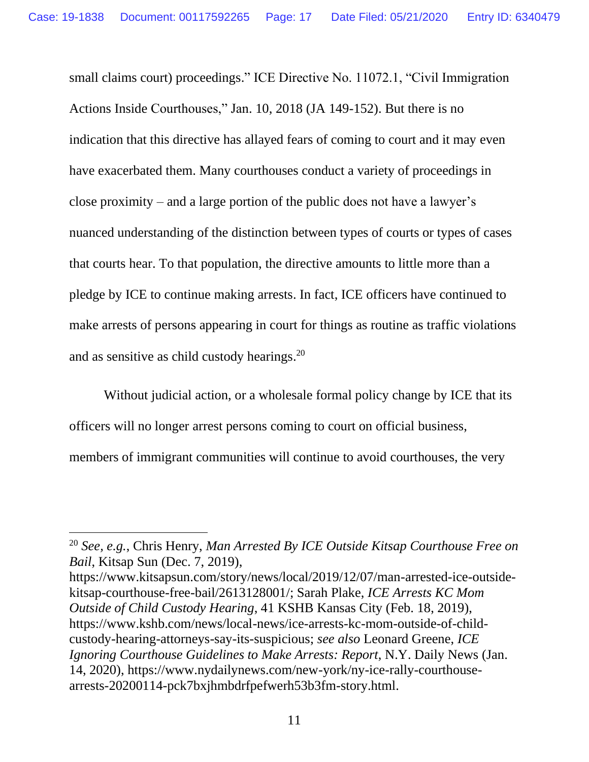small claims court) proceedings." ICE Directive No. 11072.1, "Civil Immigration Actions Inside Courthouses," Jan. 10, 2018 (JA 149-152). But there is no indication that this directive has allayed fears of coming to court and it may even have exacerbated them. Many courthouses conduct a variety of proceedings in close proximity – and a large portion of the public does not have a lawyer's nuanced understanding of the distinction between types of courts or types of cases that courts hear. To that population, the directive amounts to little more than a pledge by ICE to continue making arrests. In fact, ICE officers have continued to make arrests of persons appearing in court for things as routine as traffic violations and as sensitive as child custody hearings.<sup>20</sup>

Without judicial action, or a wholesale formal policy change by ICE that its officers will no longer arrest persons coming to court on official business, members of immigrant communities will continue to avoid courthouses, the very

https://www.kitsapsun.com/story/news/local/2019/12/07/man-arrested-ice-outsidekitsap-courthouse-free-bail/2613128001/; Sarah Plake, *ICE Arrests KC Mom Outside of Child Custody Hearing*, 41 KSHB Kansas City (Feb. 18, 2019), https://www.kshb.com/news/local-news/ice-arrests-kc-mom-outside-of-childcustody-hearing-attorneys-say-its-suspicious; *see also* Leonard Greene, *ICE Ignoring Courthouse Guidelines to Make Arrests: Report*, N.Y. Daily News (Jan. 14, 2020), https://www.nydailynews.com/new-york/ny-ice-rally-courthousearrests-20200114-pck7bxjhmbdrfpefwerh53b3fm-story.html.

<sup>20</sup> *See, e.g.*, Chris Henry, *Man Arrested By ICE Outside Kitsap Courthouse Free on Bail*, Kitsap Sun (Dec. 7, 2019),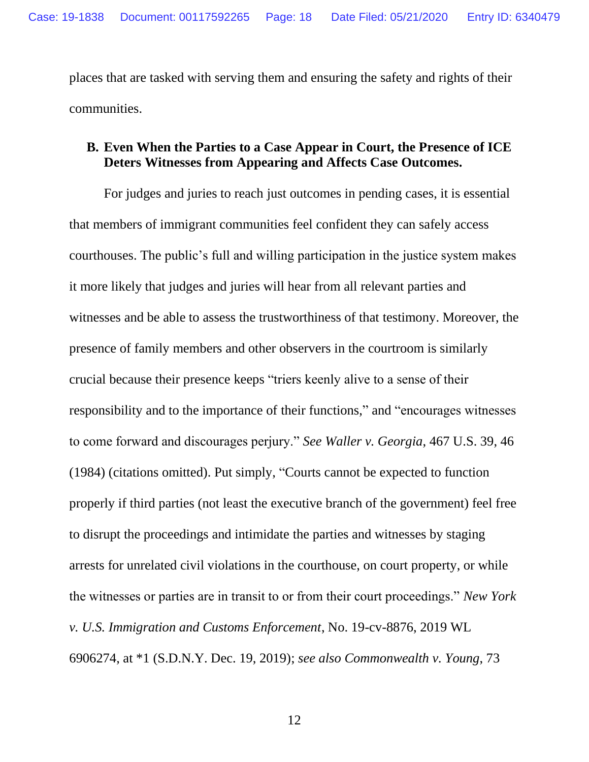places that are tasked with serving them and ensuring the safety and rights of their communities.

### <span id="page-17-0"></span>**B. Even When the Parties to a Case Appear in Court, the Presence of ICE Deters Witnesses from Appearing and Affects Case Outcomes.**

For judges and juries to reach just outcomes in pending cases, it is essential that members of immigrant communities feel confident they can safely access courthouses. The public's full and willing participation in the justice system makes it more likely that judges and juries will hear from all relevant parties and witnesses and be able to assess the trustworthiness of that testimony. Moreover, the presence of family members and other observers in the courtroom is similarly crucial because their presence keeps "triers keenly alive to a sense of their responsibility and to the importance of their functions," and "encourages witnesses to come forward and discourages perjury." *See Waller v. Georgia*, 467 U.S. 39, 46 (1984) (citations omitted). Put simply, "Courts cannot be expected to function properly if third parties (not least the executive branch of the government) feel free to disrupt the proceedings and intimidate the parties and witnesses by staging arrests for unrelated civil violations in the courthouse, on court property, or while the witnesses or parties are in transit to or from their court proceedings." *New York v. U.S. Immigration and Customs Enforcement*, No. 19-cv-8876, 2019 WL 6906274, at \*1 (S.D.N.Y. Dec. 19, 2019); *see also Commonwealth v. Young*, 73

12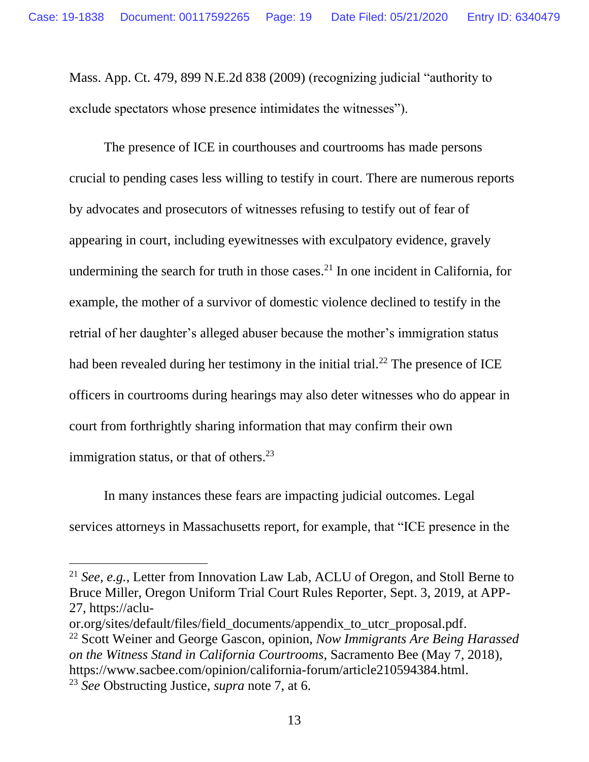Mass. App. Ct. 479, 899 N.E.2d 838 (2009) (recognizing judicial "authority to exclude spectators whose presence intimidates the witnesses").

The presence of ICE in courthouses and courtrooms has made persons crucial to pending cases less willing to testify in court. There are numerous reports by advocates and prosecutors of witnesses refusing to testify out of fear of appearing in court, including eyewitnesses with exculpatory evidence, gravely undermining the search for truth in those cases.<sup>21</sup> In one incident in California, for example, the mother of a survivor of domestic violence declined to testify in the retrial of her daughter's alleged abuser because the mother's immigration status had been revealed during her testimony in the initial trial.<sup>22</sup> The presence of ICE officers in courtrooms during hearings may also deter witnesses who do appear in court from forthrightly sharing information that may confirm their own immigration status, or that of others. $^{23}$ 

In many instances these fears are impacting judicial outcomes. Legal services attorneys in Massachusetts report, for example, that "ICE presence in the

<sup>21</sup> *See, e.g.*, Letter from Innovation Law Lab, ACLU of Oregon, and Stoll Berne to Bruce Miller, Oregon Uniform Trial Court Rules Reporter, Sept. 3, 2019, at APP-27, https://aclu-

or.org/sites/default/files/field\_documents/appendix\_to\_utcr\_proposal.pdf. <sup>22</sup> Scott Weiner and George Gascon, opinion, *Now Immigrants Are Being Harassed on the Witness Stand in California Courtrooms*, Sacramento Bee (May 7, 2018), https://www.sacbee.com/opinion/california-forum/article210594384.html.

<sup>23</sup> *See* Obstructing Justice, *supra* note 7, at 6.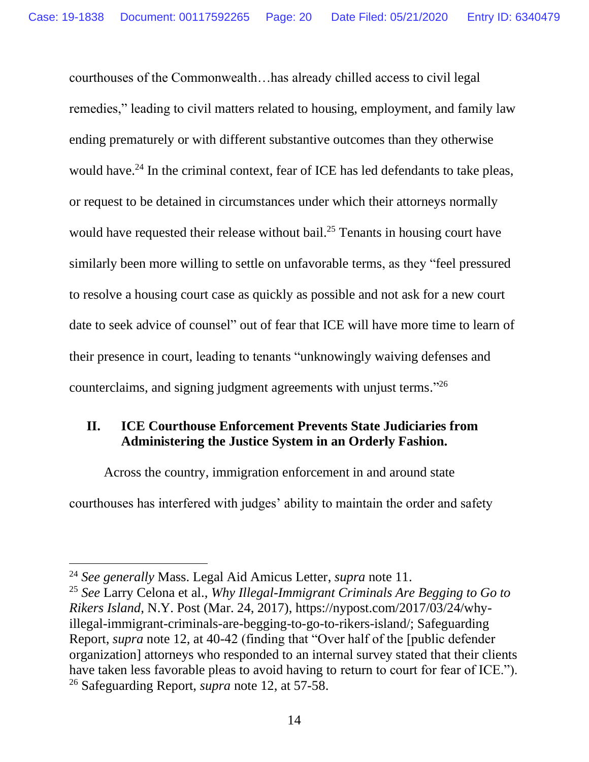courthouses of the Commonwealth…has already chilled access to civil legal remedies," leading to civil matters related to housing, employment, and family law ending prematurely or with different substantive outcomes than they otherwise would have.<sup>24</sup> In the criminal context, fear of ICE has led defendants to take pleas, or request to be detained in circumstances under which their attorneys normally would have requested their release without bail.<sup>25</sup> Tenants in housing court have similarly been more willing to settle on unfavorable terms, as they "feel pressured to resolve a housing court case as quickly as possible and not ask for a new court date to seek advice of counsel" out of fear that ICE will have more time to learn of their presence in court, leading to tenants "unknowingly waiving defenses and counterclaims, and signing judgment agreements with unjust terms."<sup>26</sup>

## <span id="page-19-0"></span>**II. ICE Courthouse Enforcement Prevents State Judiciaries from Administering the Justice System in an Orderly Fashion.**

Across the country, immigration enforcement in and around state courthouses has interfered with judges' ability to maintain the order and safety

<sup>24</sup> *See generally* Mass. Legal Aid Amicus Letter, *supra* note 11.

<sup>25</sup> *See* Larry Celona et al., *Why Illegal-Immigrant Criminals Are Begging to Go to Rikers Island*, N.Y. Post (Mar. 24, 2017), https://nypost.com/2017/03/24/whyillegal-immigrant-criminals-are-begging-to-go-to-rikers-island/; Safeguarding Report, *supra* note 12, at 40-42 (finding that "Over half of the [public defender organization] attorneys who responded to an internal survey stated that their clients have taken less favorable pleas to avoid having to return to court for fear of ICE."). <sup>26</sup> Safeguarding Report, *supra* note 12, at 57-58.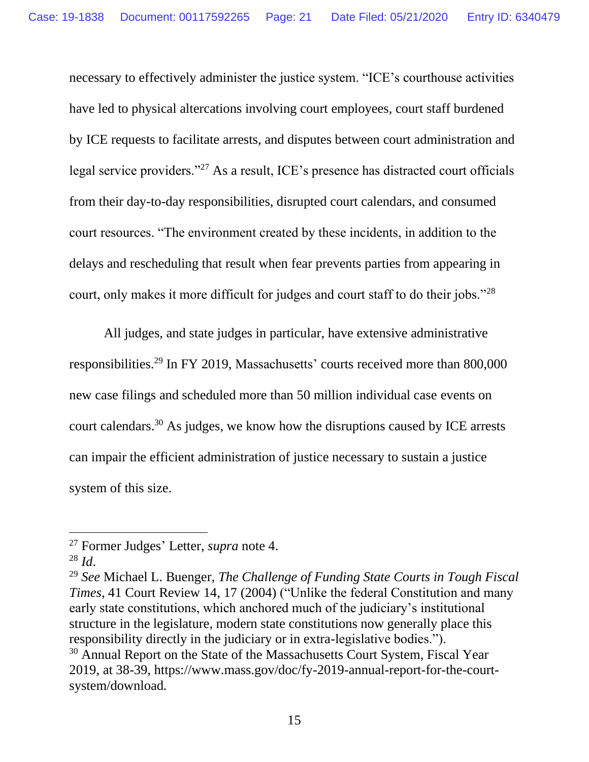necessary to effectively administer the justice system. "ICE's courthouse activities have led to physical altercations involving court employees, court staff burdened by ICE requests to facilitate arrests, and disputes between court administration and legal service providers."<sup>27</sup> As a result, ICE's presence has distracted court officials from their day-to-day responsibilities, disrupted court calendars, and consumed court resources. "The environment created by these incidents, in addition to the delays and rescheduling that result when fear prevents parties from appearing in court, only makes it more difficult for judges and court staff to do their jobs."<sup>28</sup>

All judges, and state judges in particular, have extensive administrative responsibilities.<sup>29</sup> In FY 2019, Massachusetts' courts received more than 800,000 new case filings and scheduled more than 50 million individual case events on court calendars. <sup>30</sup> As judges, we know how the disruptions caused by ICE arrests can impair the efficient administration of justice necessary to sustain a justice system of this size.

<sup>27</sup> Former Judges' Letter, *supra* note 4.

 $^{28}$  *Id.* 

<sup>29</sup> *See* Michael L. Buenger, *The Challenge of Funding State Courts in Tough Fiscal Times*, 41 Court Review 14, 17 (2004) ("Unlike the federal Constitution and many early state constitutions, which anchored much of the judiciary's institutional structure in the legislature, modern state constitutions now generally place this responsibility directly in the judiciary or in extra-legislative bodies."). <sup>30</sup> Annual Report on the State of the Massachusetts Court System, Fiscal Year 2019, at 38-39, https://www.mass.gov/doc/fy-2019-annual-report-for-the-courtsystem/download*.*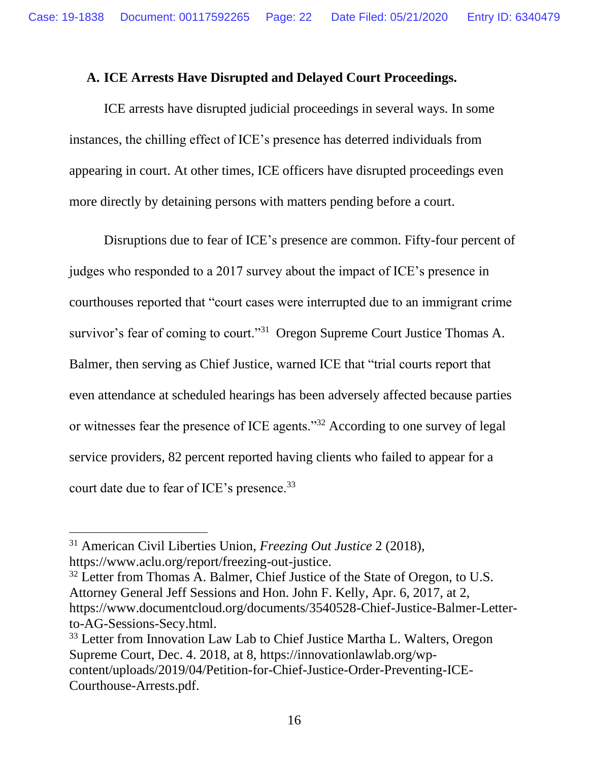#### <span id="page-21-0"></span>**A. ICE Arrests Have Disrupted and Delayed Court Proceedings.**

ICE arrests have disrupted judicial proceedings in several ways. In some instances, the chilling effect of ICE's presence has deterred individuals from appearing in court. At other times, ICE officers have disrupted proceedings even more directly by detaining persons with matters pending before a court.

Disruptions due to fear of ICE's presence are common. Fifty-four percent of judges who responded to a 2017 survey about the impact of ICE's presence in courthouses reported that "court cases were interrupted due to an immigrant crime survivor's fear of coming to court."<sup>31</sup> Oregon Supreme Court Justice Thomas A. Balmer, then serving as Chief Justice, warned ICE that "trial courts report that even attendance at scheduled hearings has been adversely affected because parties or witnesses fear the presence of ICE agents."<sup>32</sup> According to one survey of legal service providers, 82 percent reported having clients who failed to appear for a court date due to fear of ICE's presence.<sup>33</sup>

<sup>31</sup> American Civil Liberties Union, *Freezing Out Justice* 2 (2018), https://www.aclu.org/report/freezing-out-justice.

 $32$  Letter from Thomas A. Balmer, Chief Justice of the State of Oregon, to U.S. Attorney General Jeff Sessions and Hon. John F. Kelly, Apr. 6, 2017, at 2, https://www.documentcloud.org/documents/3540528-Chief-Justice-Balmer-Letterto-AG-Sessions-Secy.html.

<sup>&</sup>lt;sup>33</sup> Letter from Innovation Law Lab to Chief Justice Martha L. Walters, Oregon Supreme Court, Dec. 4. 2018, at 8, https://innovationlawlab.org/wpcontent/uploads/2019/04/Petition-for-Chief-Justice-Order-Preventing-ICE-Courthouse-Arrests.pdf.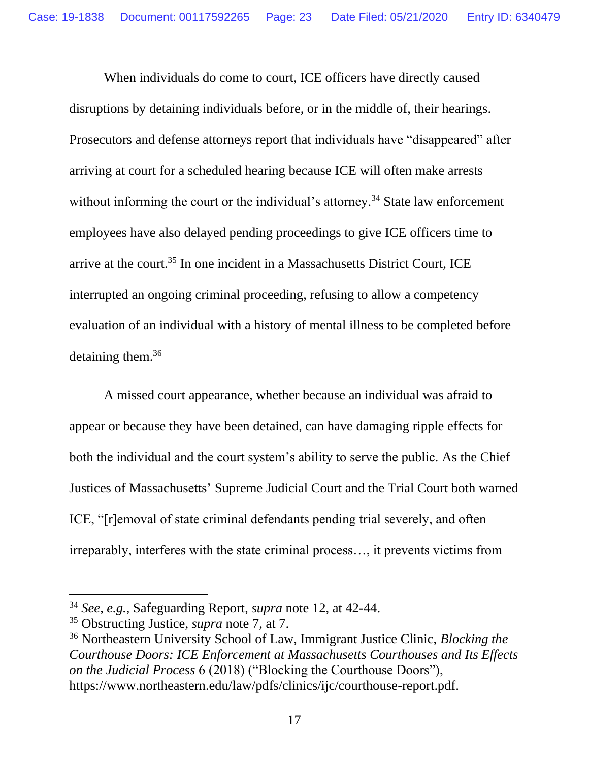When individuals do come to court, ICE officers have directly caused disruptions by detaining individuals before, or in the middle of, their hearings. Prosecutors and defense attorneys report that individuals have "disappeared" after arriving at court for a scheduled hearing because ICE will often make arrests without informing the court or the individual's attorney.<sup>34</sup> State law enforcement employees have also delayed pending proceedings to give ICE officers time to arrive at the court.<sup>35</sup> In one incident in a Massachusetts District Court, ICE interrupted an ongoing criminal proceeding, refusing to allow a competency evaluation of an individual with a history of mental illness to be completed before detaining them.<sup>36</sup>

A missed court appearance, whether because an individual was afraid to appear or because they have been detained, can have damaging ripple effects for both the individual and the court system's ability to serve the public. As the Chief Justices of Massachusetts' Supreme Judicial Court and the Trial Court both warned ICE, "[r]emoval of state criminal defendants pending trial severely, and often irreparably, interferes with the state criminal process…, it prevents victims from

<sup>34</sup> *See, e.g.*, Safeguarding Report, *supra* note 12, at 42-44.

<sup>35</sup> Obstructing Justice, *supra* note 7, at 7.

<sup>36</sup> Northeastern University School of Law, Immigrant Justice Clinic, *Blocking the Courthouse Doors: ICE Enforcement at Massachusetts Courthouses and Its Effects on the Judicial Process* 6 (2018) ("Blocking the Courthouse Doors"), https://www.northeastern.edu/law/pdfs/clinics/ijc/courthouse-report.pdf.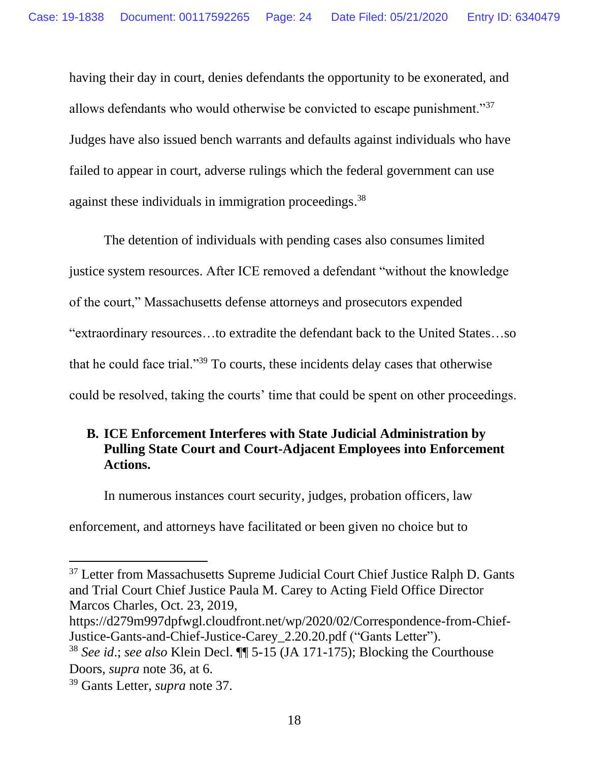having their day in court, denies defendants the opportunity to be exonerated, and allows defendants who would otherwise be convicted to escape punishment."<sup>37</sup> Judges have also issued bench warrants and defaults against individuals who have failed to appear in court, adverse rulings which the federal government can use against these individuals in immigration proceedings.<sup>38</sup>

The detention of individuals with pending cases also consumes limited justice system resources. After ICE removed a defendant "without the knowledge of the court," Massachusetts defense attorneys and prosecutors expended "extraordinary resources…to extradite the defendant back to the United States…so that he could face trial."<sup>39</sup> To courts, these incidents delay cases that otherwise could be resolved, taking the courts' time that could be spent on other proceedings.

## <span id="page-23-0"></span>**B. ICE Enforcement Interferes with State Judicial Administration by Pulling State Court and Court-Adjacent Employees into Enforcement Actions.**

In numerous instances court security, judges, probation officers, law

enforcement, and attorneys have facilitated or been given no choice but to

<sup>&</sup>lt;sup>37</sup> Letter from Massachusetts Supreme Judicial Court Chief Justice Ralph D. Gants and Trial Court Chief Justice Paula M. Carey to Acting Field Office Director Marcos Charles, Oct. 23, 2019,

https://d279m997dpfwgl.cloudfront.net/wp/2020/02/Correspondence-from-Chief-Justice-Gants-and-Chief-Justice-Carey\_2.20.20.pdf ("Gants Letter").

<sup>38</sup> *See id*.; *see also* Klein Decl. ¶¶ 5-15 (JA 171-175); Blocking the Courthouse Doors, *supra* note 36, at 6.

<sup>39</sup> Gants Letter, *supra* note 37.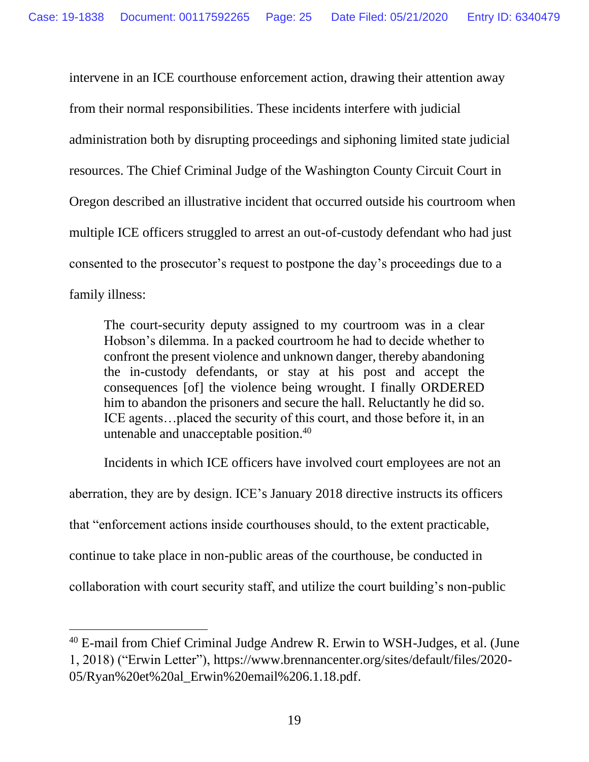intervene in an ICE courthouse enforcement action, drawing their attention away from their normal responsibilities. These incidents interfere with judicial administration both by disrupting proceedings and siphoning limited state judicial resources. The Chief Criminal Judge of the Washington County Circuit Court in Oregon described an illustrative incident that occurred outside his courtroom when multiple ICE officers struggled to arrest an out-of-custody defendant who had just consented to the prosecutor's request to postpone the day's proceedings due to a family illness:

The court-security deputy assigned to my courtroom was in a clear Hobson's dilemma. In a packed courtroom he had to decide whether to confront the present violence and unknown danger, thereby abandoning the in-custody defendants, or stay at his post and accept the consequences [of] the violence being wrought. I finally ORDERED him to abandon the prisoners and secure the hall. Reluctantly he did so. ICE agents…placed the security of this court, and those before it, in an untenable and unacceptable position.<sup>40</sup>

Incidents in which ICE officers have involved court employees are not an aberration, they are by design. ICE's January 2018 directive instructs its officers that "enforcement actions inside courthouses should, to the extent practicable, continue to take place in non-public areas of the courthouse, be conducted in collaboration with court security staff, and utilize the court building's non-public

<sup>40</sup> E-mail from Chief Criminal Judge Andrew R. Erwin to WSH-Judges, et al. (June 1, 2018) ("Erwin Letter"), https://www.brennancenter.org/sites/default/files/2020- 05/Ryan%20et%20al\_Erwin%20email%206.1.18.pdf.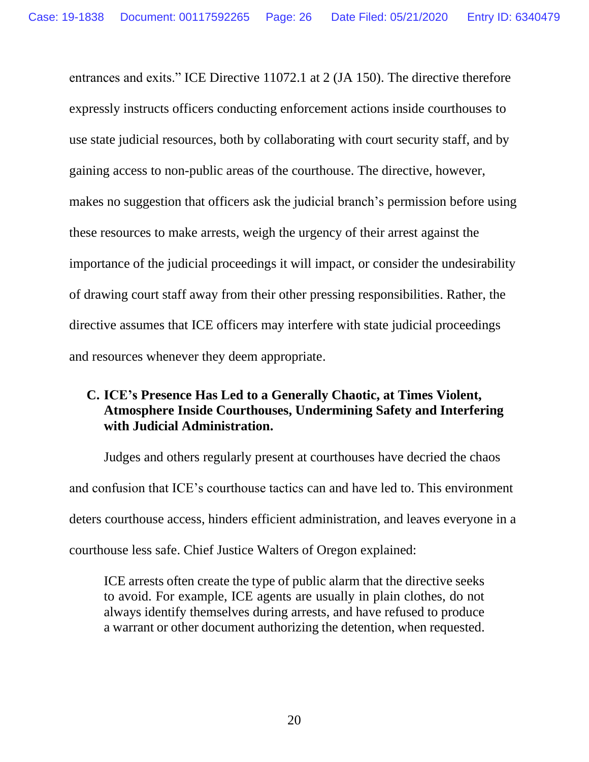entrances and exits." ICE Directive 11072.1 at 2 (JA 150). The directive therefore expressly instructs officers conducting enforcement actions inside courthouses to use state judicial resources, both by collaborating with court security staff, and by gaining access to non-public areas of the courthouse. The directive, however, makes no suggestion that officers ask the judicial branch's permission before using these resources to make arrests, weigh the urgency of their arrest against the importance of the judicial proceedings it will impact, or consider the undesirability of drawing court staff away from their other pressing responsibilities. Rather, the directive assumes that ICE officers may interfere with state judicial proceedings and resources whenever they deem appropriate.

## <span id="page-25-0"></span>**C. ICE's Presence Has Led to a Generally Chaotic, at Times Violent, Atmosphere Inside Courthouses, Undermining Safety and Interfering with Judicial Administration.**

Judges and others regularly present at courthouses have decried the chaos and confusion that ICE's courthouse tactics can and have led to. This environment deters courthouse access, hinders efficient administration, and leaves everyone in a courthouse less safe. Chief Justice Walters of Oregon explained:

ICE arrests often create the type of public alarm that the directive seeks to avoid. For example, ICE agents are usually in plain clothes, do not always identify themselves during arrests, and have refused to produce a warrant or other document authorizing the detention, when requested.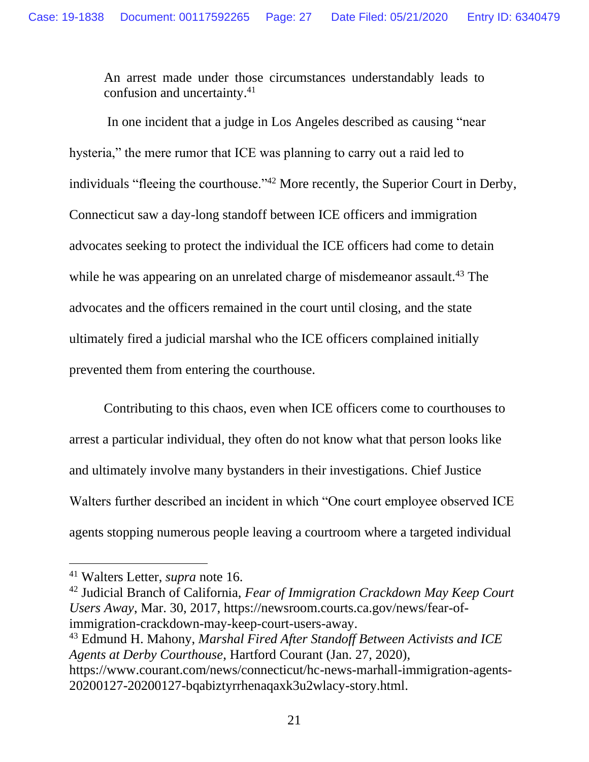An arrest made under those circumstances understandably leads to confusion and uncertainty.<sup>41</sup>

In one incident that a judge in Los Angeles described as causing "near hysteria," the mere rumor that ICE was planning to carry out a raid led to individuals "fleeing the courthouse."<sup>42</sup> More recently, the Superior Court in Derby, Connecticut saw a day-long standoff between ICE officers and immigration advocates seeking to protect the individual the ICE officers had come to detain while he was appearing on an unrelated charge of misdemeanor assault.<sup>43</sup> The advocates and the officers remained in the court until closing, and the state ultimately fired a judicial marshal who the ICE officers complained initially prevented them from entering the courthouse.

Contributing to this chaos, even when ICE officers come to courthouses to arrest a particular individual, they often do not know what that person looks like and ultimately involve many bystanders in their investigations. Chief Justice Walters further described an incident in which "One court employee observed ICE agents stopping numerous people leaving a courtroom where a targeted individual

<sup>43</sup> Edmund H. Mahony, *Marshal Fired After Standoff Between Activists and ICE Agents at Derby Courthouse*, Hartford Courant (Jan. 27, 2020),

<sup>41</sup> Walters Letter, *supra* note 16.

<sup>42</sup> Judicial Branch of California, *Fear of Immigration Crackdown May Keep Court Users Away*, Mar. 30, 2017, https://newsroom.courts.ca.gov/news/fear-ofimmigration-crackdown-may-keep-court-users-away.

https://www.courant.com/news/connecticut/hc-news-marhall-immigration-agents-20200127-20200127-bqabiztyrrhenaqaxk3u2wlacy-story.html.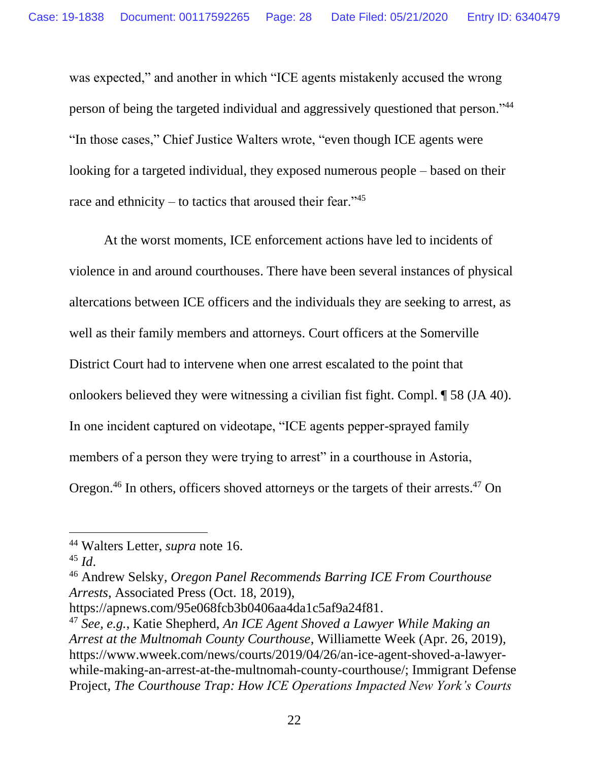was expected," and another in which "ICE agents mistakenly accused the wrong person of being the targeted individual and aggressively questioned that person."<sup>44</sup> "In those cases," Chief Justice Walters wrote, "even though ICE agents were looking for a targeted individual, they exposed numerous people – based on their race and ethnicity – to tactics that aroused their fear." $45$ 

At the worst moments, ICE enforcement actions have led to incidents of violence in and around courthouses. There have been several instances of physical altercations between ICE officers and the individuals they are seeking to arrest, as well as their family members and attorneys. Court officers at the Somerville District Court had to intervene when one arrest escalated to the point that onlookers believed they were witnessing a civilian fist fight. Compl. ¶ 58 (JA 40). In one incident captured on videotape, "ICE agents pepper-sprayed family members of a person they were trying to arrest" in a courthouse in Astoria, Oregon.<sup>46</sup> In others, officers shoved attorneys or the targets of their arrests.<sup>47</sup> On

<sup>46</sup> Andrew Selsky, *Oregon Panel Recommends Barring ICE From Courthouse Arrests*, Associated Press (Oct. 18, 2019),

<sup>44</sup> Walters Letter, *supra* note 16.

 $45$  *Id.* 

https://apnews.com/95e068fcb3b0406aa4da1c5af9a24f81.

<sup>47</sup> *See, e.g.*, Katie Shepherd, *An ICE Agent Shoved a Lawyer While Making an Arrest at the Multnomah County Courthouse*, Williamette Week (Apr. 26, 2019), https://www.wweek.com/news/courts/2019/04/26/an-ice-agent-shoved-a-lawyerwhile-making-an-arrest-at-the-multnomah-county-courthouse/; Immigrant Defense Project, *The Courthouse Trap: How ICE Operations Impacted New York's Courts*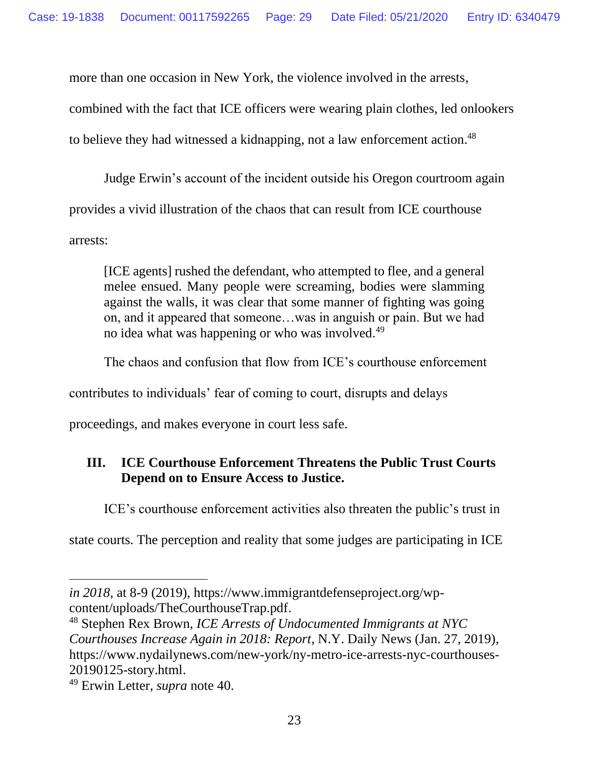more than one occasion in New York, the violence involved in the arrests,

combined with the fact that ICE officers were wearing plain clothes, led onlookers

to believe they had witnessed a kidnapping, not a law enforcement action.<sup>48</sup>

Judge Erwin's account of the incident outside his Oregon courtroom again

provides a vivid illustration of the chaos that can result from ICE courthouse

arrests:

[ICE agents] rushed the defendant, who attempted to flee, and a general melee ensued. Many people were screaming, bodies were slamming against the walls, it was clear that some manner of fighting was going on, and it appeared that someone…was in anguish or pain. But we had no idea what was happening or who was involved.<sup>49</sup>

The chaos and confusion that flow from ICE's courthouse enforcement

contributes to individuals' fear of coming to court, disrupts and delays

proceedings, and makes everyone in court less safe.

## <span id="page-28-0"></span>**III. ICE Courthouse Enforcement Threatens the Public Trust Courts Depend on to Ensure Access to Justice.**

ICE's courthouse enforcement activities also threaten the public's trust in

state courts. The perception and reality that some judges are participating in ICE

*in 2018*, at 8-9 (2019), https://www.immigrantdefenseproject.org/wpcontent/uploads/TheCourthouseTrap.pdf.

<sup>48</sup> Stephen Rex Brown, *ICE Arrests of Undocumented Immigrants at NYC Courthouses Increase Again in 2018: Report*, N.Y. Daily News (Jan. 27, 2019), https://www.nydailynews.com/new-york/ny-metro-ice-arrests-nyc-courthouses-20190125-story.html.

<sup>49</sup> Erwin Letter, *supra* note 40.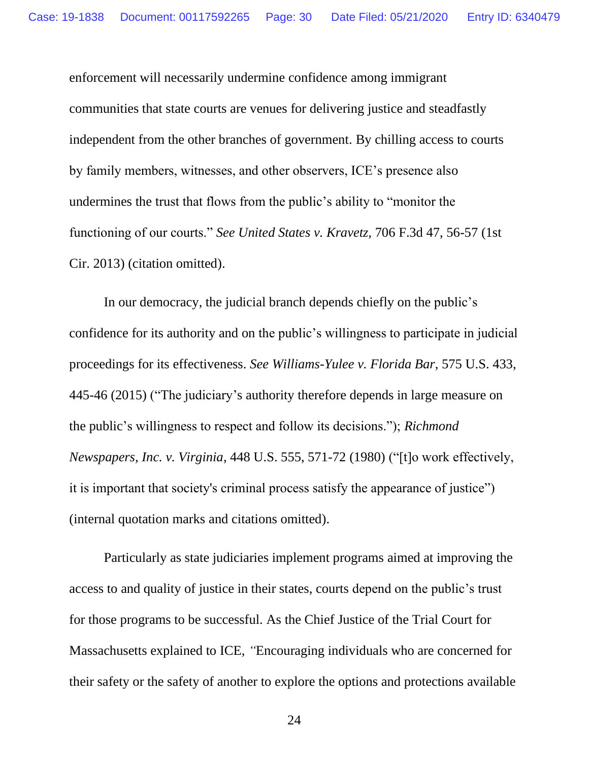enforcement will necessarily undermine confidence among immigrant communities that state courts are venues for delivering justice and steadfastly independent from the other branches of government. By chilling access to courts by family members, witnesses, and other observers, ICE's presence also undermines the trust that flows from the public's ability to "monitor the functioning of our courts." *See United States v. Kravetz,* 706 F.3d 47, 56-57 (1st Cir. 2013) (citation omitted).

In our democracy, the judicial branch depends chiefly on the public's confidence for its authority and on the public's willingness to participate in judicial proceedings for its effectiveness. *See Williams-Yulee v. Florida Bar*, 575 U.S. 433, 445-46 (2015) ("The judiciary's authority therefore depends in large measure on the public's willingness to respect and follow its decisions."); *Richmond Newspapers, Inc. v. Virginia*, 448 U.S. 555, 571-72 (1980) ("[t]o work effectively, it is important that society's criminal process satisfy the appearance of justice") (internal quotation marks and citations omitted).

Particularly as state judiciaries implement programs aimed at improving the access to and quality of justice in their states, courts depend on the public's trust for those programs to be successful. As the Chief Justice of the Trial Court for Massachusetts explained to ICE, *"*Encouraging individuals who are concerned for their safety or the safety of another to explore the options and protections available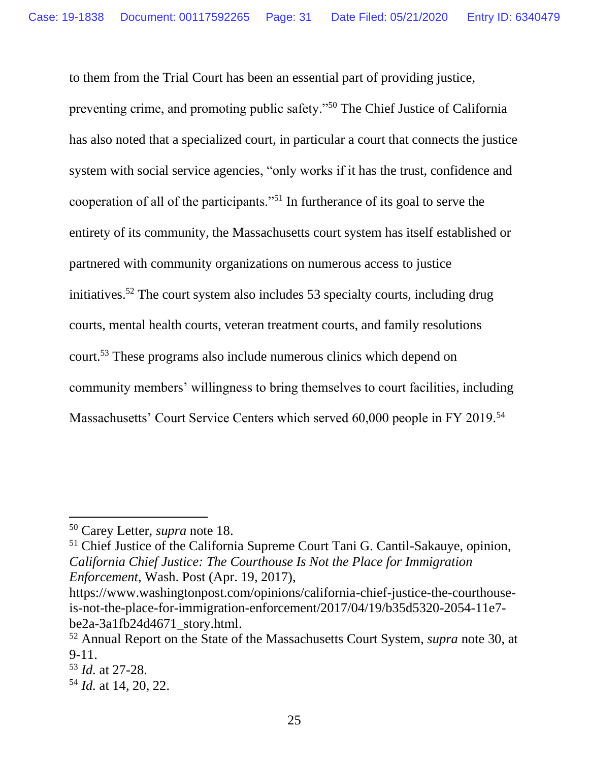to them from the Trial Court has been an essential part of providing justice, preventing crime, and promoting public safety."<sup>50</sup> The Chief Justice of California has also noted that a specialized court, in particular a court that connects the justice system with social service agencies, "only works if it has the trust, confidence and cooperation of all of the participants."<sup>51</sup> In furtherance of its goal to serve the entirety of its community, the Massachusetts court system has itself established or partnered with community organizations on numerous access to justice initiatives.<sup>52</sup> The court system also includes 53 specialty courts, including drug courts, mental health courts, veteran treatment courts, and family resolutions court.<sup>53</sup> These programs also include numerous clinics which depend on community members' willingness to bring themselves to court facilities, including Massachusetts' Court Service Centers which served 60,000 people in FY 2019.<sup>54</sup>

<sup>51</sup> Chief Justice of the California Supreme Court Tani G. Cantil-Sakauye, opinion, *California Chief Justice: The Courthouse Is Not the Place for Immigration Enforcement*, Wash. Post (Apr. 19, 2017),

<sup>50</sup> Carey Letter, *supra* note 18.

https://www.washingtonpost.com/opinions/california-chief-justice-the-courthouseis-not-the-place-for-immigration-enforcement/2017/04/19/b35d5320-2054-11e7 be2a-3a1fb24d4671\_story.html.

<sup>52</sup> Annual Report on the State of the Massachusetts Court System, *supra* note 30, at 9-11.

<sup>53</sup> *Id.* at 27-28.

<sup>54</sup> *Id.* at 14, 20, 22.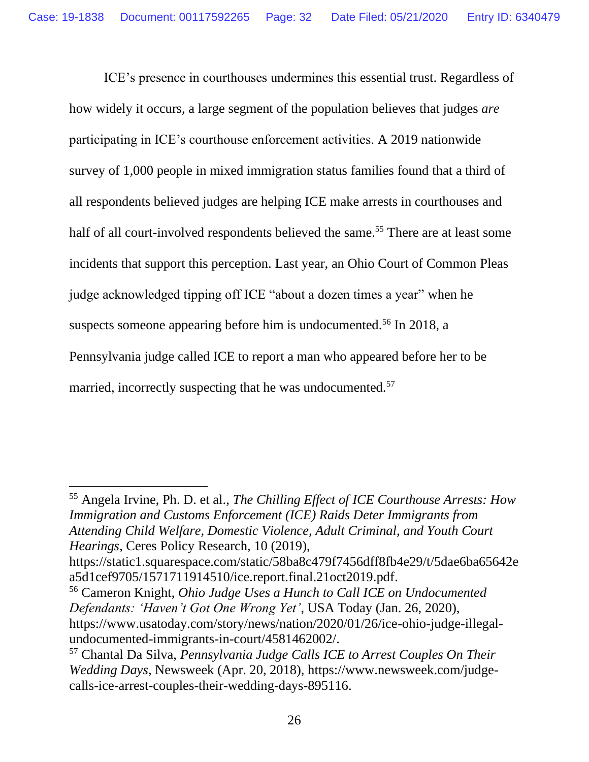ICE's presence in courthouses undermines this essential trust. Regardless of how widely it occurs, a large segment of the population believes that judges *are* participating in ICE's courthouse enforcement activities. A 2019 nationwide survey of 1,000 people in mixed immigration status families found that a third of all respondents believed judges are helping ICE make arrests in courthouses and half of all court-involved respondents believed the same.<sup>55</sup> There are at least some incidents that support this perception. Last year, an Ohio Court of Common Pleas judge acknowledged tipping off ICE "about a dozen times a year" when he suspects someone appearing before him is undocumented.<sup>56</sup> In 2018, a Pennsylvania judge called ICE to report a man who appeared before her to be married, incorrectly suspecting that he was undocumented.<sup>57</sup>

<sup>55</sup> Angela Irvine, Ph. D. et al., *The Chilling Effect of ICE Courthouse Arrests: How Immigration and Customs Enforcement (ICE) Raids Deter Immigrants from Attending Child Welfare, Domestic Violence, Adult Criminal, and Youth Court Hearings*, Ceres Policy Research, 10 (2019),

https://static1.squarespace.com/static/58ba8c479f7456dff8fb4e29/t/5dae6ba65642e a5d1cef9705/1571711914510/ice.report.final.21oct2019.pdf.

<sup>56</sup> Cameron Knight, *Ohio Judge Uses a Hunch to Call ICE on Undocumented Defendants: 'Haven't Got One Wrong Yet'*, USA Today (Jan. 26, 2020), https://www.usatoday.com/story/news/nation/2020/01/26/ice-ohio-judge-illegalundocumented-immigrants-in-court/4581462002/.

<sup>57</sup> Chantal Da Silva, *Pennsylvania Judge Calls ICE to Arrest Couples On Their Wedding Days*, Newsweek (Apr. 20, 2018), https://www.newsweek.com/judgecalls-ice-arrest-couples-their-wedding-days-895116.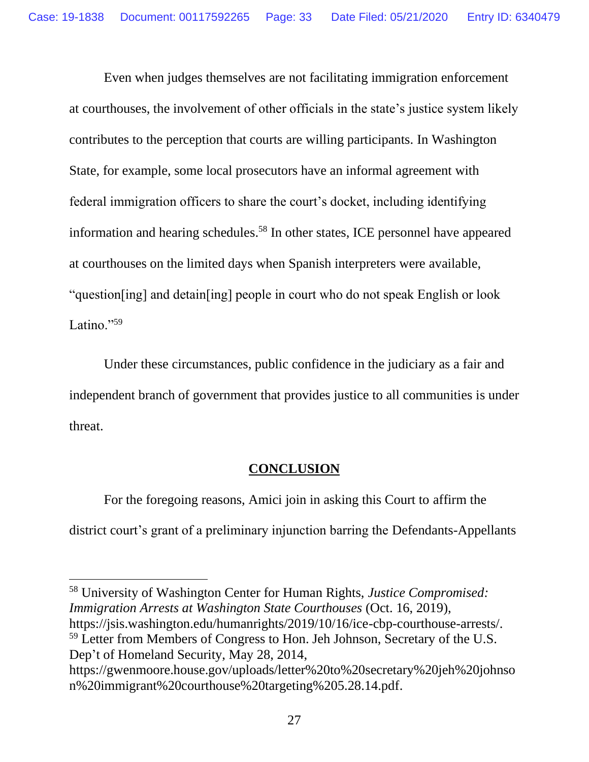Even when judges themselves are not facilitating immigration enforcement at courthouses, the involvement of other officials in the state's justice system likely contributes to the perception that courts are willing participants. In Washington State, for example, some local prosecutors have an informal agreement with federal immigration officers to share the court's docket, including identifying information and hearing schedules. <sup>58</sup> In other states, ICE personnel have appeared at courthouses on the limited days when Spanish interpreters were available, "question[ing] and detain[ing] people in court who do not speak English or look Latino."<sup>59</sup>

Under these circumstances, public confidence in the judiciary as a fair and independent branch of government that provides justice to all communities is under threat.

### **CONCLUSION**

<span id="page-32-0"></span>For the foregoing reasons, Amici join in asking this Court to affirm the district court's grant of a preliminary injunction barring the Defendants-Appellants

<sup>58</sup> University of Washington Center for Human Rights, *Justice Compromised: Immigration Arrests at Washington State Courthouses* (Oct. 16, 2019), https://jsis.washington.edu/humanrights/2019/10/16/ice-cbp-courthouse-arrests/. <sup>59</sup> Letter from Members of Congress to Hon. Jeh Johnson, Secretary of the U.S. Dep't of Homeland Security, May 28, 2014,

https://gwenmoore.house.gov/uploads/letter%20to%20secretary%20jeh%20johnso n%20immigrant%20courthouse%20targeting%205.28.14.pdf.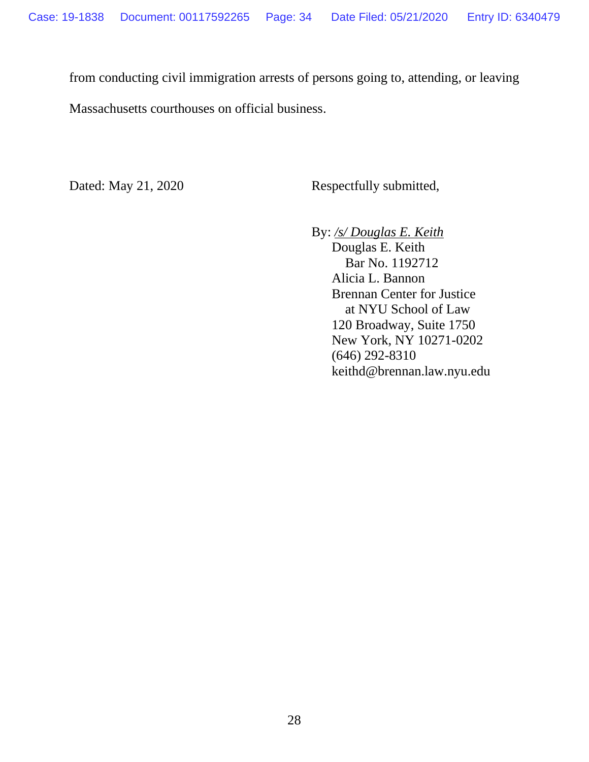from conducting civil immigration arrests of persons going to, attending, or leaving

Massachusetts courthouses on official business.

Dated: May 21, 2020 Respectfully submitted,

By: */s/ Douglas E. Keith*

 Douglas E. Keith Bar No. 1192712 Alicia L. Bannon Brennan Center for Justice at NYU School of Law 120 Broadway, Suite 1750 New York, NY 10271-0202 (646) 292-8310 keithd@brennan.law.nyu.edu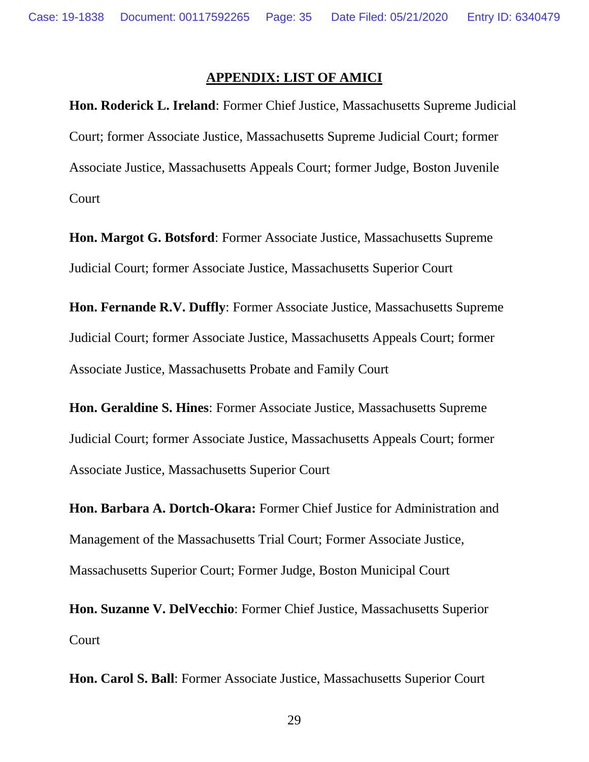#### **APPENDIX: LIST OF AMICI**

<span id="page-34-0"></span>**Hon. Roderick L. Ireland**: Former Chief Justice, Massachusetts Supreme Judicial Court; former Associate Justice, Massachusetts Supreme Judicial Court; former Associate Justice, Massachusetts Appeals Court; former Judge, Boston Juvenile Court

**Hon. Margot G. Botsford**: Former Associate Justice, Massachusetts Supreme Judicial Court; former Associate Justice, Massachusetts Superior Court

**Hon. Fernande R.V. Duffly**: Former Associate Justice, Massachusetts Supreme Judicial Court; former Associate Justice, Massachusetts Appeals Court; former Associate Justice, Massachusetts Probate and Family Court

**Hon. Geraldine S. Hines**: Former Associate Justice, Massachusetts Supreme Judicial Court; former Associate Justice, Massachusetts Appeals Court; former Associate Justice, Massachusetts Superior Court

**Hon. Barbara A. Dortch-Okara:** Former Chief Justice for Administration and Management of the Massachusetts Trial Court; Former Associate Justice, Massachusetts Superior Court; Former Judge, Boston Municipal Court

**Hon. Suzanne V. DelVecchio**: Former Chief Justice, Massachusetts Superior Court

**Hon. Carol S. Ball**: Former Associate Justice, Massachusetts Superior Court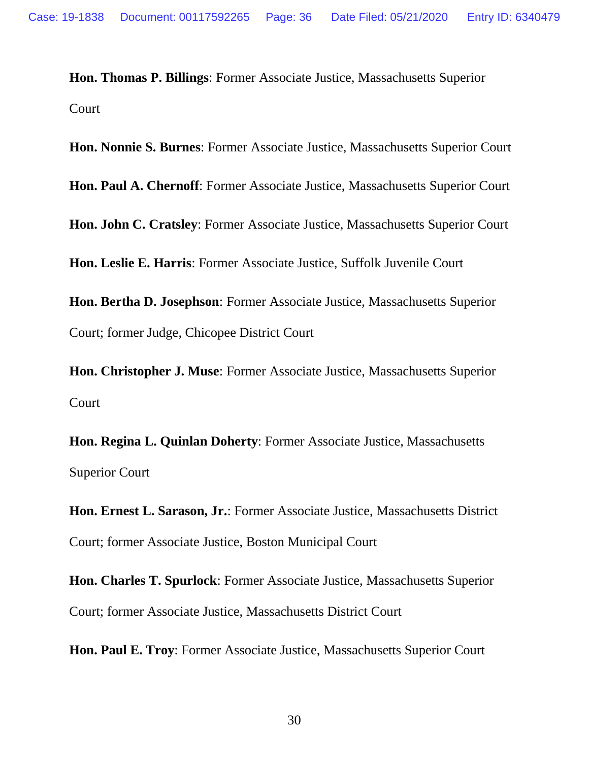**Hon. Thomas P. Billings**: Former Associate Justice, Massachusetts Superior Court

**Hon. Nonnie S. Burnes**: Former Associate Justice, Massachusetts Superior Court

**Hon. Paul A. Chernoff**: Former Associate Justice, Massachusetts Superior Court

**Hon. John C. Cratsley**: Former Associate Justice, Massachusetts Superior Court

**Hon. Leslie E. Harris**: Former Associate Justice, Suffolk Juvenile Court

**Hon. Bertha D. Josephson**: Former Associate Justice, Massachusetts Superior Court; former Judge, Chicopee District Court

**Hon. Christopher J. Muse**: Former Associate Justice, Massachusetts Superior Court

**Hon. Regina L. Quinlan Doherty**: Former Associate Justice, Massachusetts Superior Court

**Hon. Ernest L. Sarason, Jr.**: Former Associate Justice, Massachusetts District Court; former Associate Justice, Boston Municipal Court

**Hon. Charles T. Spurlock**: Former Associate Justice, Massachusetts Superior Court; former Associate Justice, Massachusetts District Court

**Hon. Paul E. Troy**: Former Associate Justice, Massachusetts Superior Court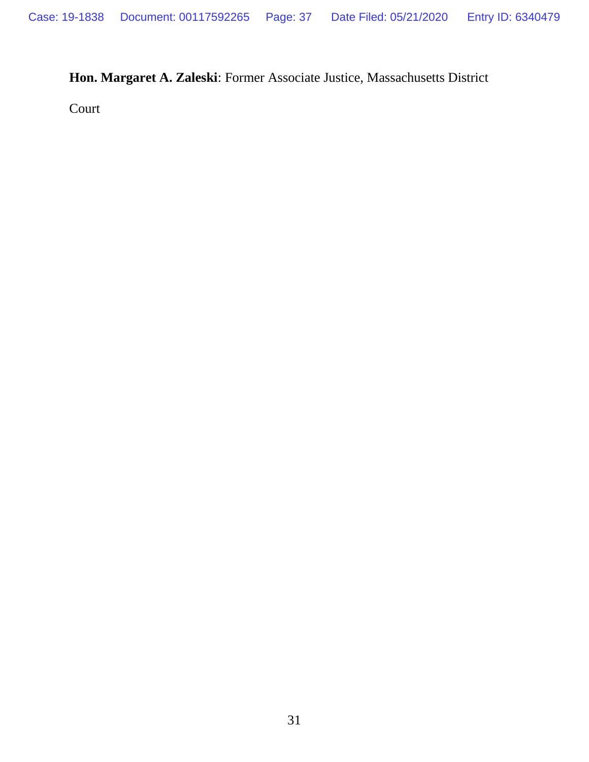## **Hon. Margaret A. Zaleski**: Former Associate Justice, Massachusetts District

Court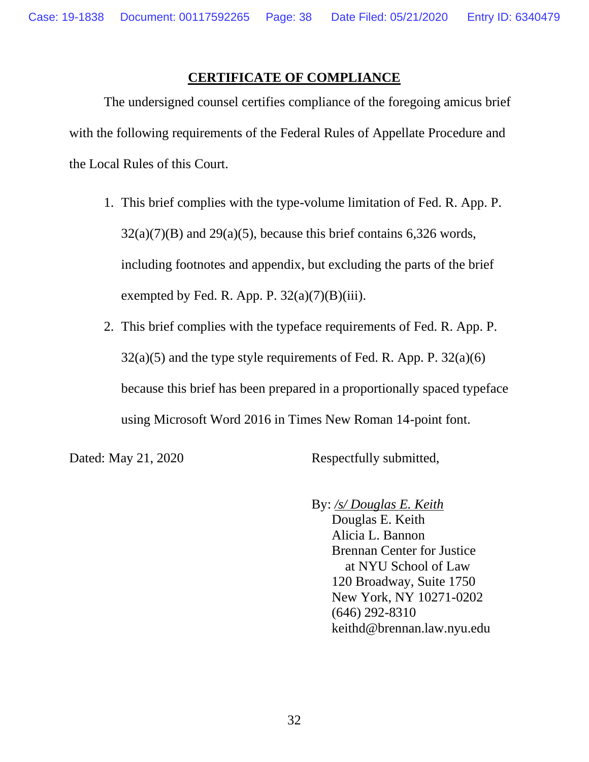#### **CERTIFICATE OF COMPLIANCE**

The undersigned counsel certifies compliance of the foregoing amicus brief with the following requirements of the Federal Rules of Appellate Procedure and the Local Rules of this Court.

- 1. This brief complies with the type-volume limitation of Fed. R. App. P.  $32(a)(7)(B)$  and  $29(a)(5)$ , because this brief contains 6,326 words, including footnotes and appendix, but excluding the parts of the brief exempted by Fed. R. App. P.  $32(a)(7)(B)(iii)$ .
- 2. This brief complies with the typeface requirements of Fed. R. App. P.  $32(a)(5)$  and the type style requirements of Fed. R. App. P.  $32(a)(6)$ because this brief has been prepared in a proportionally spaced typeface using Microsoft Word 2016 in Times New Roman 14-point font.

Dated: May 21, 2020 Respectfully submitted,

 By: */s/ Douglas E. Keith* Douglas E. Keith Alicia L. Bannon Brennan Center for Justice at NYU School of Law 120 Broadway, Suite 1750 New York, NY 10271-0202 (646) 292-8310 keithd@brennan.law.nyu.edu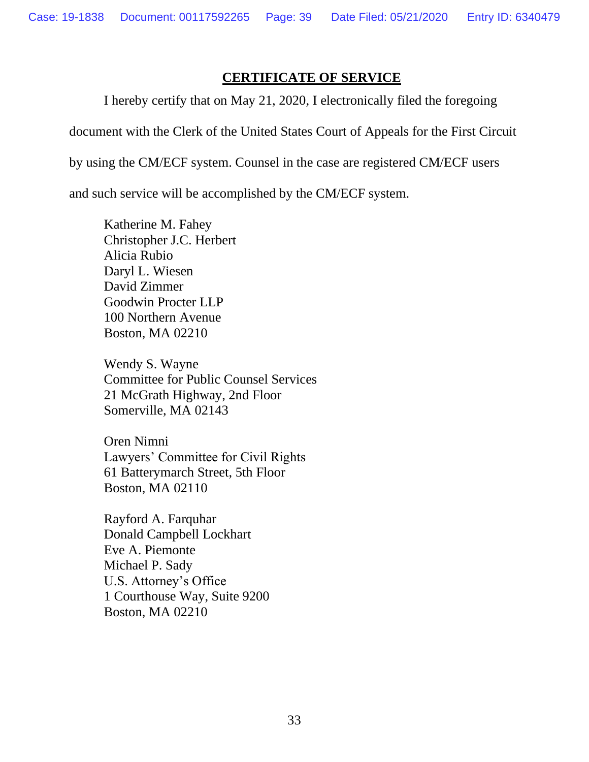#### **CERTIFICATE OF SERVICE**

I hereby certify that on May 21, 2020, I electronically filed the foregoing

document with the Clerk of the United States Court of Appeals for the First Circuit

by using the CM/ECF system. Counsel in the case are registered CM/ECF users

and such service will be accomplished by the CM/ECF system.

Katherine M. Fahey Christopher J.C. Herbert Alicia Rubio Daryl L. Wiesen David Zimmer Goodwin Procter LLP 100 Northern Avenue Boston, MA 02210

Wendy S. Wayne Committee for Public Counsel Services 21 McGrath Highway, 2nd Floor Somerville, MA 02143

Oren Nimni Lawyers' Committee for Civil Rights 61 Batterymarch Street, 5th Floor Boston, MA 02110

Rayford A. Farquhar Donald Campbell Lockhart Eve A. Piemonte Michael P. Sady U.S. Attorney's Office 1 Courthouse Way, Suite 9200 Boston, MA 02210